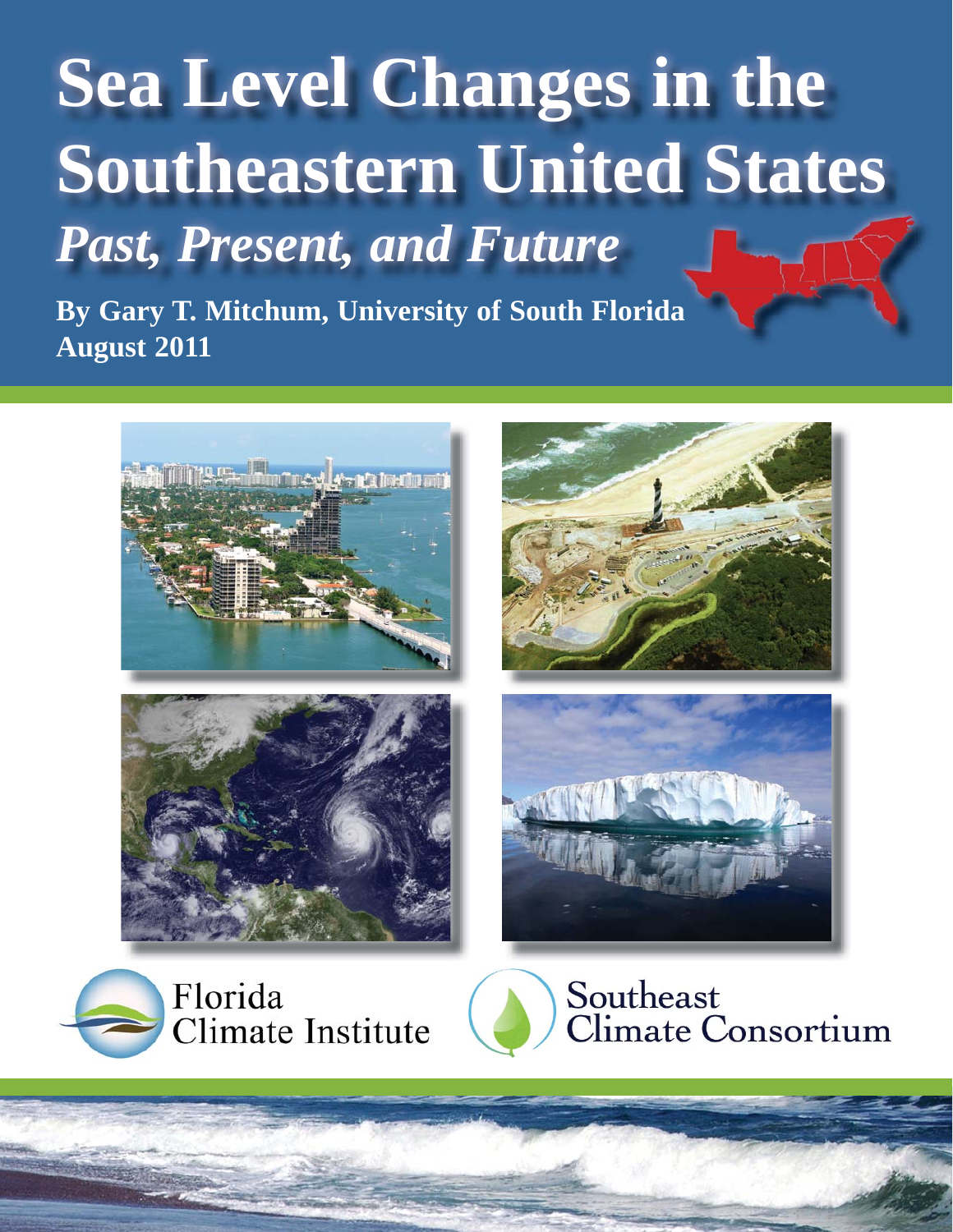









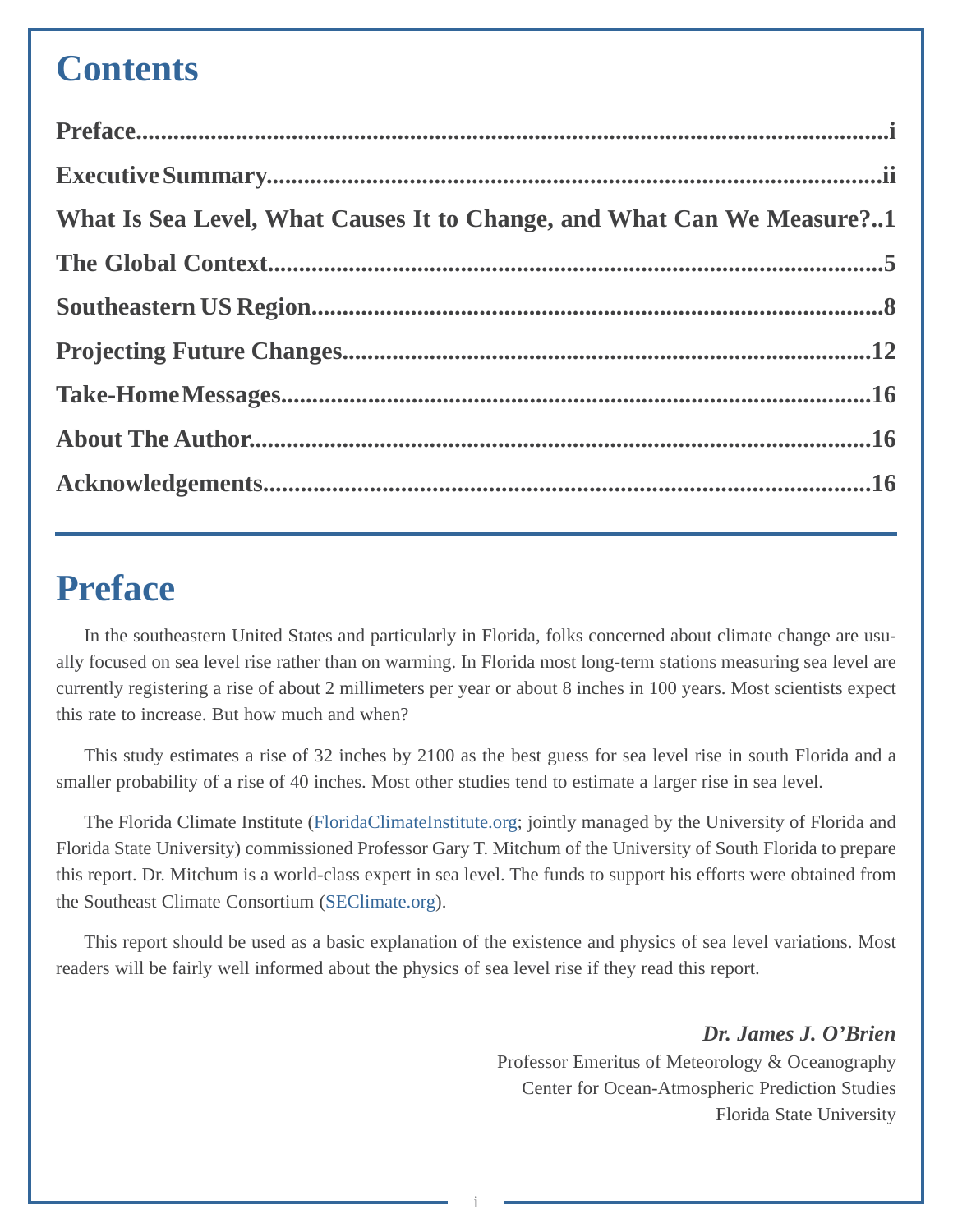## **Contents**

| What Is Sea Level, What Causes It to Change, and What Can We Measure?1 |  |
|------------------------------------------------------------------------|--|
|                                                                        |  |
|                                                                        |  |
|                                                                        |  |
|                                                                        |  |
|                                                                        |  |
|                                                                        |  |

## **Preface**

In the southeastern United States and particularly in Florida, folks concerned about climate change are usually focused on sea level rise rather than on warming. In Florida most long-term stations measuring sea level are currently registering a rise of about 2 millimeters per year or about 8 inches in 100 years. Most scientists expect this rate to increase. But how much and when?

This study estimates a rise of 32 inches by 2100 as the best guess for sea level rise in south Florida and a smaller probability of a rise of 40 inches. Most other studies tend to estimate a larger rise in sea level.

The Florida Climate Institute [\(FloridaClimateInstitute.org;](http://floridaclimateinstitute.org) jointly managed by the University of Florida and Florida State University) commissioned Professor Gary T. Mitchum of the University of South Florida to prepare this report. Dr. Mitchum is a world-class expert in sea level. The funds to support his efforts were obtained from the Southeast Climate Consortium [\(SEClimate.org\)](http://seclimate.org).

This report should be used as a basic explanation of the existence and physics of sea level variations. Most readers will be fairly well informed about the physics of sea level rise if they read this report.

> *Dr. James J. O'Brien* Professor Emeritus of Meteorology & Oceanography Center for Ocean-Atmospheric Prediction Studies Florida State University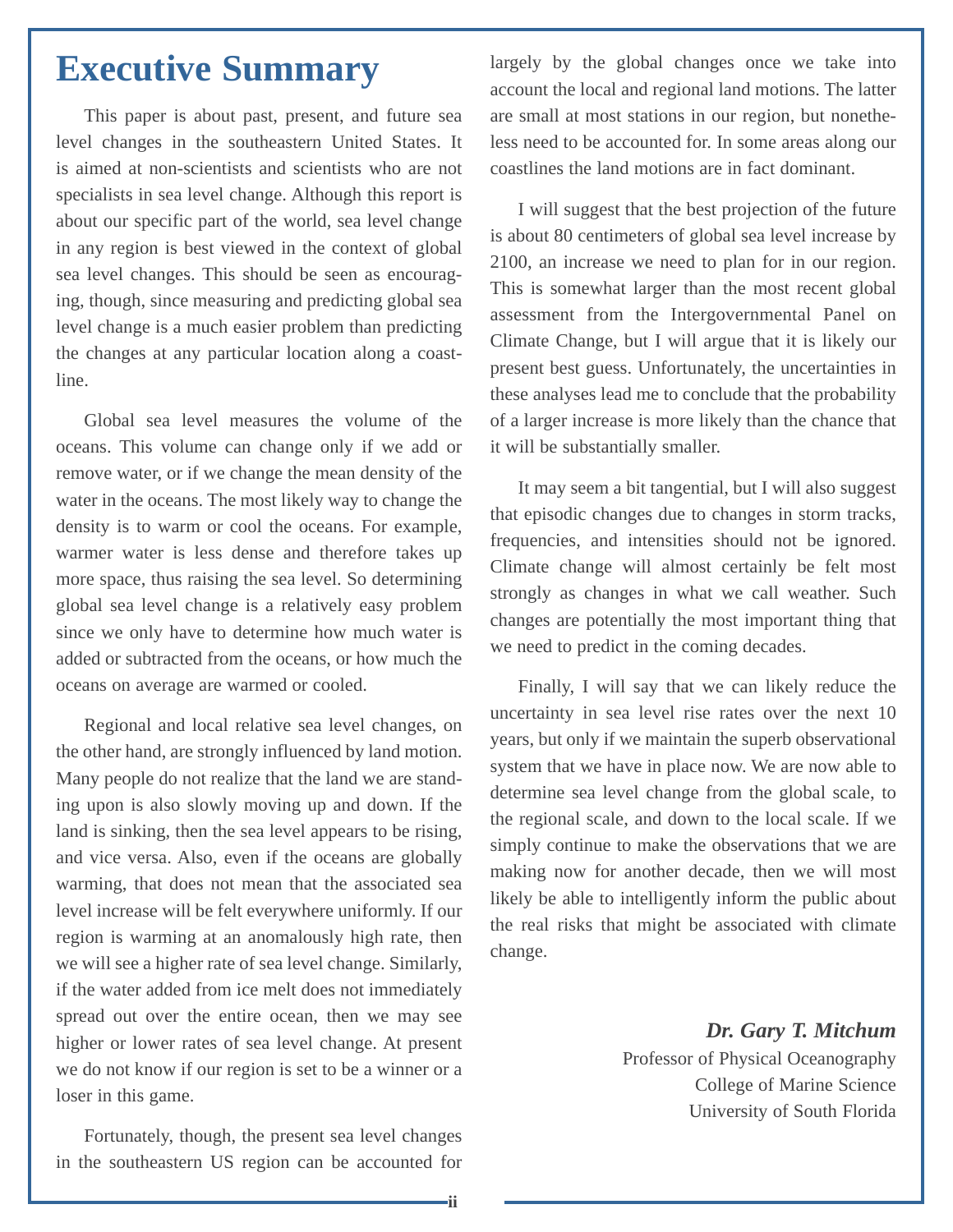## <span id="page-2-0"></span>**Executive Summary**

This paper is about past, present, and future sea level changes in the southeastern United States. It is aimed at non-scientists and scientists who are not specialists in sea level change. Although this report is about our specific part of the world, sea level change in any region is best viewed in the context of global sea level changes. This should be seen as encouraging, though, since measuring and predicting global sea level change is a much easier problem than predicting the changes at any particular location along a coastline.

Global sea level measures the volume of the oceans. This volume can change only if we add or remove water, or if we change the mean density of the water in the oceans. The most likely way to change the density is to warm or cool the oceans. For example, warmer water is less dense and therefore takes up more space, thus raising the sea level. So determining global sea level change is a relatively easy problem since we only have to determine how much water is added or subtracted from the oceans, or how much the oceans on average are warmed or cooled.

Regional and local relative sea level changes, on the other hand, are strongly influenced by land motion. Many people do not realize that the land we are standing upon is also slowly moving up and down. If the land is sinking, then the sea level appears to be rising, and vice versa. Also, even if the oceans are globally warming, that does not mean that the associated sea level increase will be felt everywhere uniformly. If our region is warming at an anomalously high rate, then we will see a higher rate of sea level change. Similarly, if the water added from ice melt does not immediately spread out over the entire ocean, then we may see higher or lower rates of sea level change. At present we do not know if our region is set to be a winner or a loser in this game.

Fortunately, though, the present sea level changes in the southeastern US region can be accounted for

largely by the global changes once we take into account the local and regional land motions. The latter are small at most stations in our region, but nonetheless need to be accounted for. In some areas along our coastlines the land motions are in fact dominant.

I will suggest that the best projection of the future is about 80 centimeters of global sea level increase by 2100, an increase we need to plan for in our region. This is somewhat larger than the most recent global assessment from the Intergovernmental Panel on Climate Change, but I will argue that it is likely our present best guess. Unfortunately, the uncertainties in these analyses lead me to conclude that the probability of a larger increase is more likely than the chance that it will be substantially smaller.

It may seem a bit tangential, but I will also suggest that episodic changes due to changes in storm tracks, frequencies, and intensities should not be ignored. Climate change will almost certainly be felt most strongly as changes in what we call weather. Such changes are potentially the most important thing that we need to predict in the coming decades.

Finally, I will say that we can likely reduce the uncertainty in sea level rise rates over the next 10 years, but only if we maintain the superb observational system that we have in place now. We are now able to determine sea level change from the global scale, to the regional scale, and down to the local scale. If we simply continue to make the observations that we are making now for another decade, then we will most likely be able to intelligently inform the public about the real risks that might be associated with climate change.

*Dr. Gary T. Mitchum*

Professor of Physical Oceanography College of Marine Science University of South Florida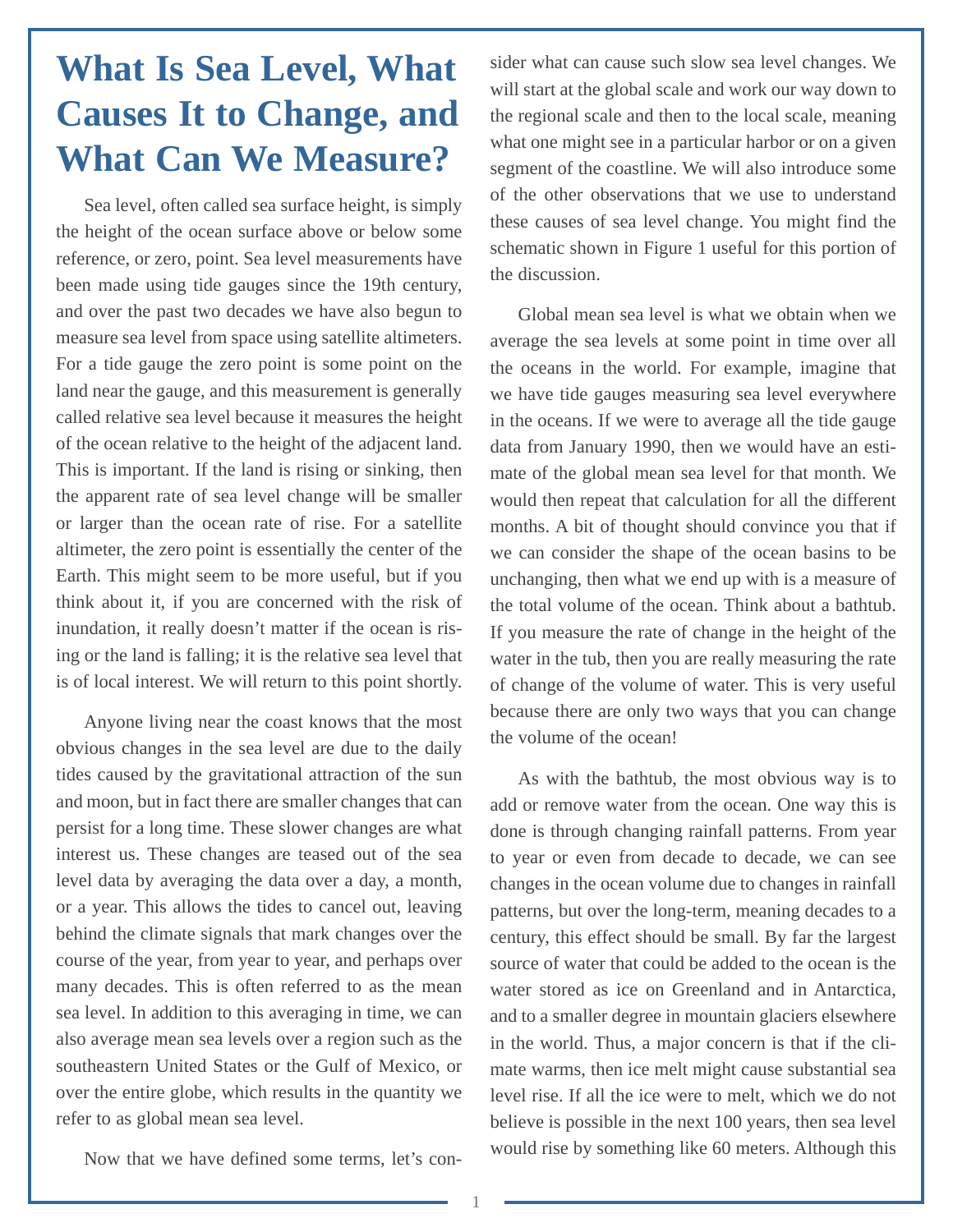# <span id="page-3-0"></span>**What Is Sea Level, What Causes It to Change, and What Can We Measure?**

Sea level, often called sea surface height, is simply the height of the ocean surface above or below some reference, or zero, point. Sea level measurements have been made using tide gauges since the 19th century, and over the past two decades we have also begun to measure sea level from space using satellite altimeters. For a tide gauge the zero point is some point on the land near the gauge, and this measurement is generally called relative sea level because it measures the height of the ocean relative to the height of the adjacent land. This is important. If the land is rising or sinking, then the apparent rate of sea level change will be smaller or larger than the ocean rate of rise. For a satellite altimeter, the zero point is essentially the center of the Earth. This might seem to be more useful, but if you think about it, if you are concerned with the risk of inundation, it really doesn't matter if the ocean is rising or the land is falling; it is the relative sea level that is of local interest. We will return to this point shortly.

Anyone living near the coast knows that the most obvious changes in the sea level are due to the daily tides caused by the gravitational attraction of the sun and moon, but in fact there are smaller changes that can persist for a long time. These slower changes are what interest us. These changes are teased out of the sea level data by averaging the data over a day, a month, or a year. This allows the tides to cancel out, leaving behind the climate signals that mark changes over the course of the year, from year to year, and perhaps over many decades. This is often referred to as the mean sea level. In addition to this averaging in time, we can also average mean sea levels over a region such as the southeastern United States or the Gulf of Mexico, or over the entire globe, which results in the quantity we refer to as global mean sea level.

sider what can cause such slow sea level changes. We will start at the global scale and work our way down to the regional scale and then to the local scale, meaning what one might see in a particular harbor or on a given segment of the coastline. We will also introduce some of the other observations that we use to understand these causes of sea level change. You might find the schematic shown in Figure 1 useful for this portion of the discussion.

Global mean sea level is what we obtain when we average the sea levels at some point in time over all the oceans in the world. For example, imagine that we have tide gauges measuring sea level everywhere in the oceans. If we were to average all the tide gauge data from January 1990, then we would have an estimate of the global mean sea level for that month. We would then repeat that calculation for all the different months. A bit of thought should convince you that if we can consider the shape of the ocean basins to be unchanging, then what we end up with is a measure of the total volume of the ocean. Think about a bathtub. If you measure the rate of change in the height of the water in the tub, then you are really measuring the rate of change of the volume of water. This is very useful because there are only two ways that you can change the volume of the ocean!

As with the bathtub, the most obvious way is to add or remove water from the ocean. One way this is done is through changing rainfall patterns. From year to year or even from decade to decade, we can see changes in the ocean volume due to changes in rainfall patterns, but over the long-term, meaning decades to a century, this effect should be small. By far the largest source of water that could be added to the ocean is the water stored as ice on Greenland and in Antarctica, and to a smaller degree in mountain glaciers elsewhere in the world. Thus, a major concern is that if the climate warms, then ice melt might cause substantial sea level rise. If all the ice were to melt, which we do not believe is possible in the next 100 years, then sea level would rise by something like 60 meters. Although this

Now that we have defined some terms, let's con-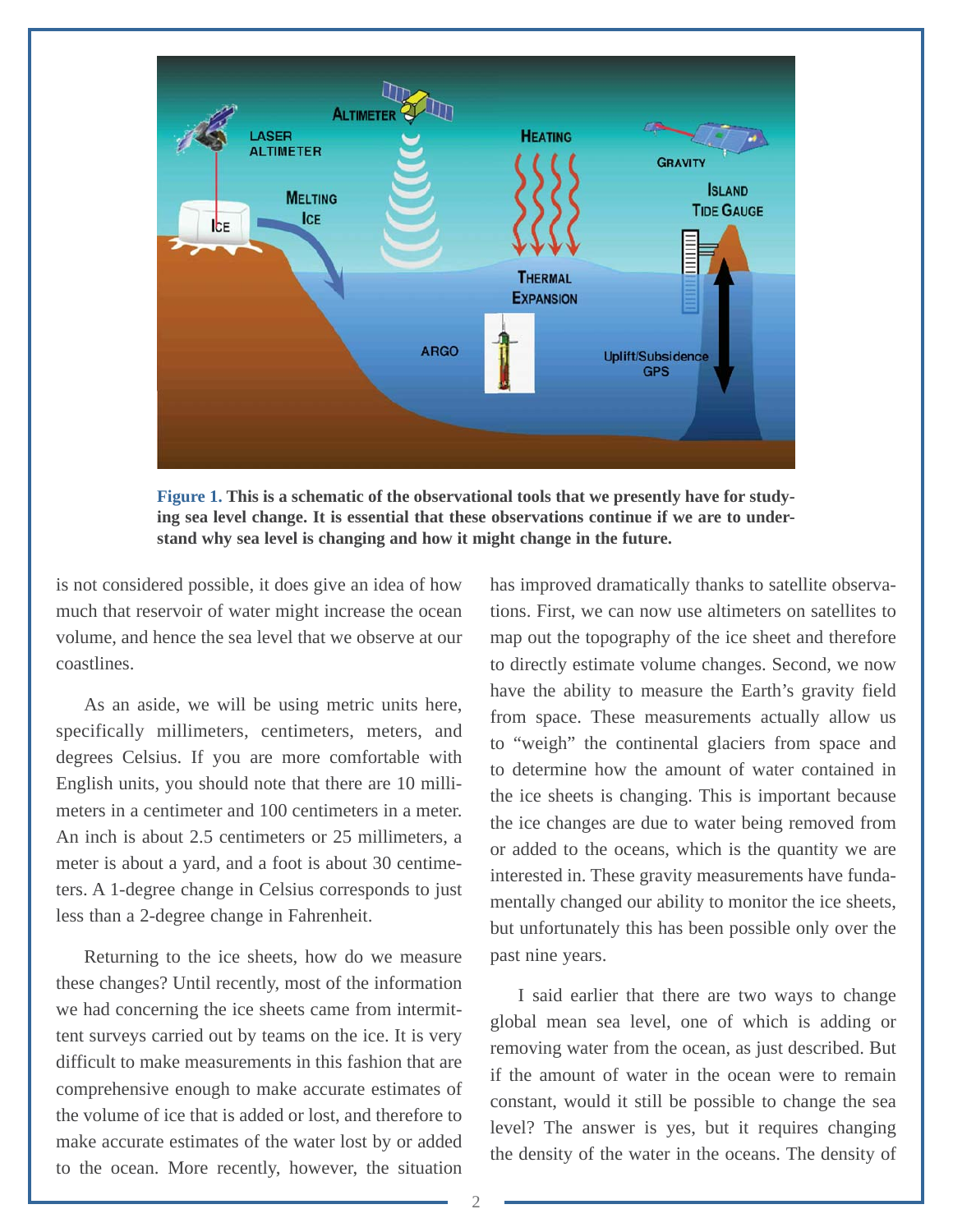

**Figure 1. This is a schematic of the observational tools that we presently have for studying sea level change. It is essential that these observations continue if we are to understand why sea level is changing and how it might change in the future.**

is not considered possible, it does give an idea of how much that reservoir of water might increase the ocean volume, and hence the sea level that we observe at our coastlines.

As an aside, we will be using metric units here, specifically millimeters, centimeters, meters, and degrees Celsius. If you are more comfortable with English units, you should note that there are 10 millimeters in a centimeter and 100 centimeters in a meter. An inch is about 2.5 centimeters or 25 millimeters, a meter is about a yard, and a foot is about 30 centimeters. A 1-degree change in Celsius corresponds to just less than a 2-degree change in Fahrenheit.

Returning to the ice sheets, how do we measure these changes? Until recently, most of the information we had concerning the ice sheets came from intermittent surveys carried out by teams on the ice. It is very difficult to make measurements in this fashion that are comprehensive enough to make accurate estimates of the volume of ice that is added or lost, and therefore to make accurate estimates of the water lost by or added to the ocean. More recently, however, the situation

has improved dramatically thanks to satellite observations. First, we can now use altimeters on satellites to map out the topography of the ice sheet and therefore to directly estimate volume changes. Second, we now have the ability to measure the Earth's gravity field from space. These measurements actually allow us to "weigh" the continental glaciers from space and to determine how the amount of water contained in the ice sheets is changing. This is important because the ice changes are due to water being removed from or added to the oceans, which is the quantity we are interested in. These gravity measurements have fundamentally changed our ability to monitor the ice sheets, but unfortunately this has been possible only over the past nine years.

I said earlier that there are two ways to change global mean sea level, one of which is adding or removing water from the ocean, as just described. But if the amount of water in the ocean were to remain constant, would it still be possible to change the sea level? The answer is yes, but it requires changing the density of the water in the oceans. The density of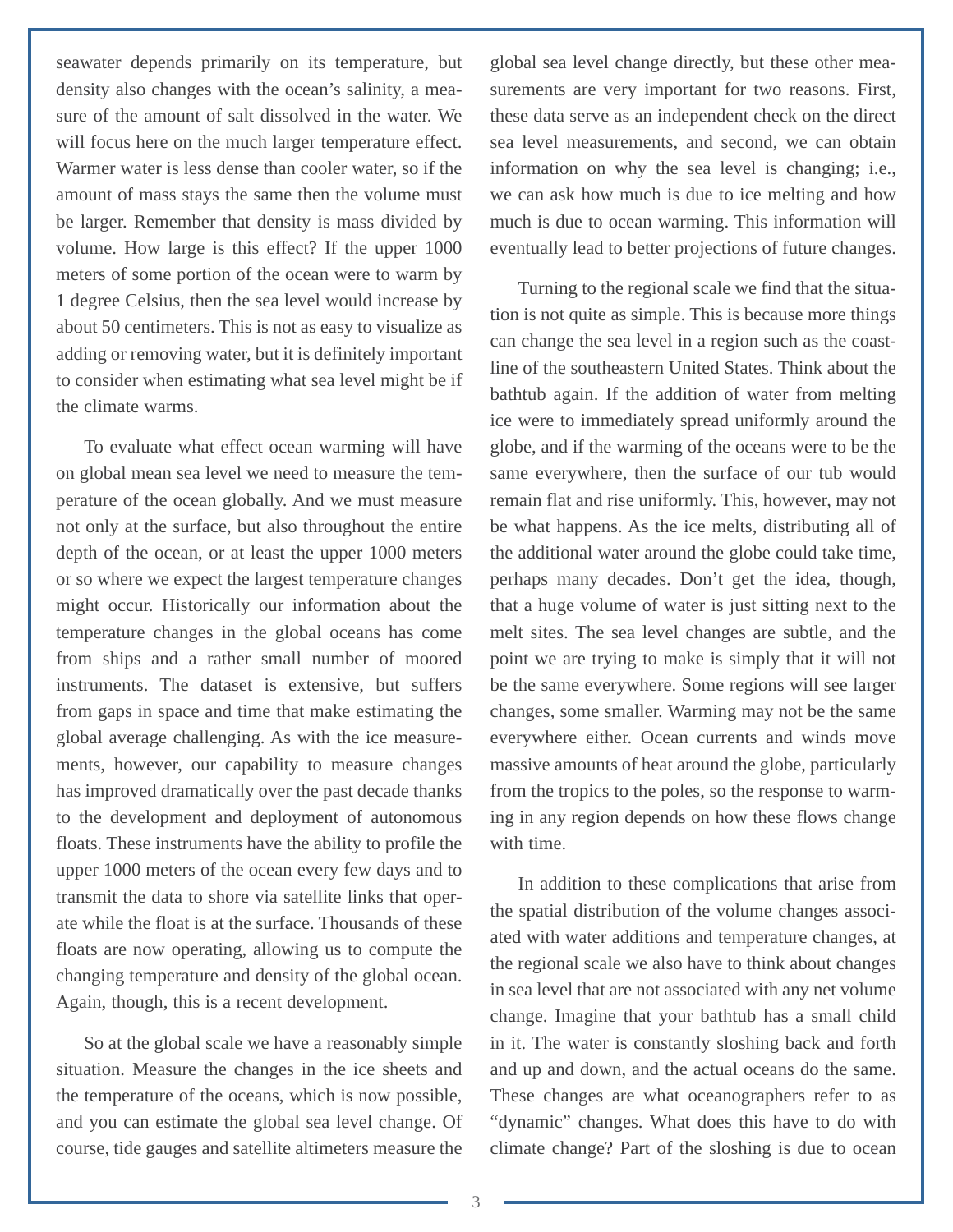seawater depends primarily on its temperature, but density also changes with the ocean's salinity, a measure of the amount of salt dissolved in the water. We will focus here on the much larger temperature effect. Warmer water is less dense than cooler water, so if the amount of mass stays the same then the volume must be larger. Remember that density is mass divided by volume. How large is this effect? If the upper 1000 meters of some portion of the ocean were to warm by 1 degree Celsius, then the sea level would increase by about 50 centimeters. This is not as easy to visualize as adding or removing water, but it is definitely important to consider when estimating what sea level might be if the climate warms.

To evaluate what effect ocean warming will have on global mean sea level we need to measure the temperature of the ocean globally. And we must measure not only at the surface, but also throughout the entire depth of the ocean, or at least the upper 1000 meters or so where we expect the largest temperature changes might occur. Historically our information about the temperature changes in the global oceans has come from ships and a rather small number of moored instruments. The dataset is extensive, but suffers from gaps in space and time that make estimating the global average challenging. As with the ice measurements, however, our capability to measure changes has improved dramatically over the past decade thanks to the development and deployment of autonomous floats. These instruments have the ability to profile the upper 1000 meters of the ocean every few days and to transmit the data to shore via satellite links that operate while the float is at the surface. Thousands of these floats are now operating, allowing us to compute the changing temperature and density of the global ocean. Again, though, this is a recent development.

So at the global scale we have a reasonably simple situation. Measure the changes in the ice sheets and the temperature of the oceans, which is now possible, and you can estimate the global sea level change. Of course, tide gauges and satellite altimeters measure the

global sea level change directly, but these other measurements are very important for two reasons. First, these data serve as an independent check on the direct sea level measurements, and second, we can obtain information on why the sea level is changing; i.e., we can ask how much is due to ice melting and how much is due to ocean warming. This information will eventually lead to better projections of future changes.

Turning to the regional scale we find that the situation is not quite as simple. This is because more things can change the sea level in a region such as the coastline of the southeastern United States. Think about the bathtub again. If the addition of water from melting ice were to immediately spread uniformly around the globe, and if the warming of the oceans were to be the same everywhere, then the surface of our tub would remain flat and rise uniformly. This, however, may not be what happens. As the ice melts, distributing all of the additional water around the globe could take time, perhaps many decades. Don't get the idea, though, that a huge volume of water is just sitting next to the melt sites. The sea level changes are subtle, and the point we are trying to make is simply that it will not be the same everywhere. Some regions will see larger changes, some smaller. Warming may not be the same everywhere either. Ocean currents and winds move massive amounts of heat around the globe, particularly from the tropics to the poles, so the response to warming in any region depends on how these flows change with time.

In addition to these complications that arise from the spatial distribution of the volume changes associated with water additions and temperature changes, at the regional scale we also have to think about changes in sea level that are not associated with any net volume change. Imagine that your bathtub has a small child in it. The water is constantly sloshing back and forth and up and down, and the actual oceans do the same. These changes are what oceanographers refer to as "dynamic" changes. What does this have to do with climate change? Part of the sloshing is due to ocean

3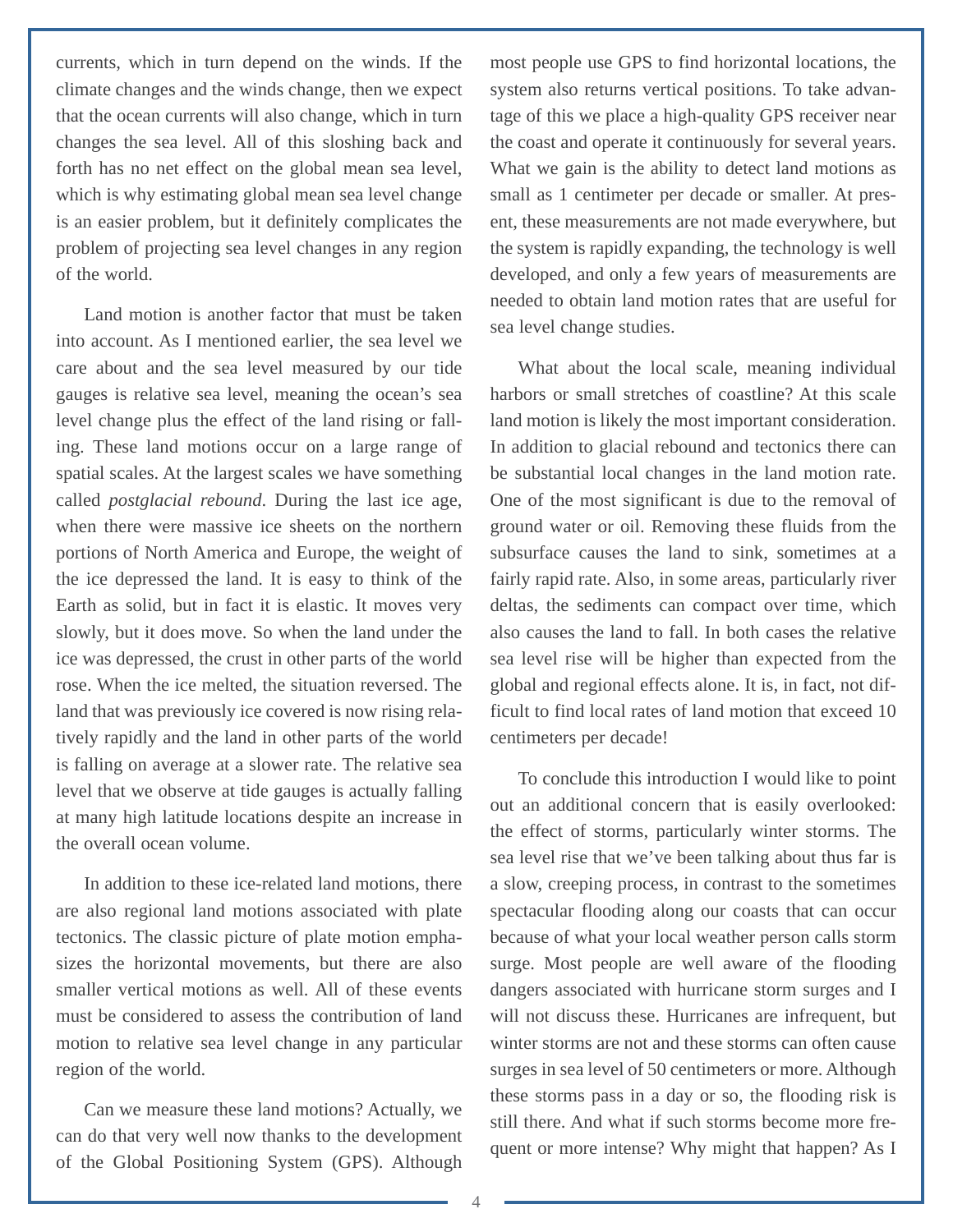currents, which in turn depend on the winds. If the climate changes and the winds change, then we expect that the ocean currents will also change, which in turn changes the sea level. All of this sloshing back and forth has no net effect on the global mean sea level, which is why estimating global mean sea level change is an easier problem, but it definitely complicates the problem of projecting sea level changes in any region of the world.

Land motion is another factor that must be taken into account. As I mentioned earlier, the sea level we care about and the sea level measured by our tide gauges is relative sea level, meaning the ocean's sea level change plus the effect of the land rising or falling. These land motions occur on a large range of spatial scales. At the largest scales we have something called *postglacial rebound*. During the last ice age, when there were massive ice sheets on the northern portions of North America and Europe, the weight of the ice depressed the land. It is easy to think of the Earth as solid, but in fact it is elastic. It moves very slowly, but it does move. So when the land under the ice was depressed, the crust in other parts of the world rose. When the ice melted, the situation reversed. The land that was previously ice covered is now rising relatively rapidly and the land in other parts of the world is falling on average at a slower rate. The relative sea level that we observe at tide gauges is actually falling at many high latitude locations despite an increase in the overall ocean volume.

In addition to these ice-related land motions, there are also regional land motions associated with plate tectonics. The classic picture of plate motion emphasizes the horizontal movements, but there are also smaller vertical motions as well. All of these events must be considered to assess the contribution of land motion to relative sea level change in any particular region of the world.

Can we measure these land motions? Actually, we can do that very well now thanks to the development of the Global Positioning System (GPS). Although

most people use GPS to find horizontal locations, the system also returns vertical positions. To take advantage of this we place a high-quality GPS receiver near the coast and operate it continuously for several years. What we gain is the ability to detect land motions as small as 1 centimeter per decade or smaller. At present, these measurements are not made everywhere, but the system is rapidly expanding, the technology is well developed, and only a few years of measurements are needed to obtain land motion rates that are useful for sea level change studies.

What about the local scale, meaning individual harbors or small stretches of coastline? At this scale land motion is likely the most important consideration. In addition to glacial rebound and tectonics there can be substantial local changes in the land motion rate. One of the most significant is due to the removal of ground water or oil. Removing these fluids from the subsurface causes the land to sink, sometimes at a fairly rapid rate. Also, in some areas, particularly river deltas, the sediments can compact over time, which also causes the land to fall. In both cases the relative sea level rise will be higher than expected from the global and regional effects alone. It is, in fact, not difficult to find local rates of land motion that exceed 10 centimeters per decade!

To conclude this introduction I would like to point out an additional concern that is easily overlooked: the effect of storms, particularly winter storms. The sea level rise that we've been talking about thus far is a slow, creeping process, in contrast to the sometimes spectacular flooding along our coasts that can occur because of what your local weather person calls storm surge. Most people are well aware of the flooding dangers associated with hurricane storm surges and I will not discuss these. Hurricanes are infrequent, but winter storms are not and these storms can often cause surges in sea level of 50 centimeters or more. Although these storms pass in a day or so, the flooding risk is still there. And what if such storms become more frequent or more intense? Why might that happen? As I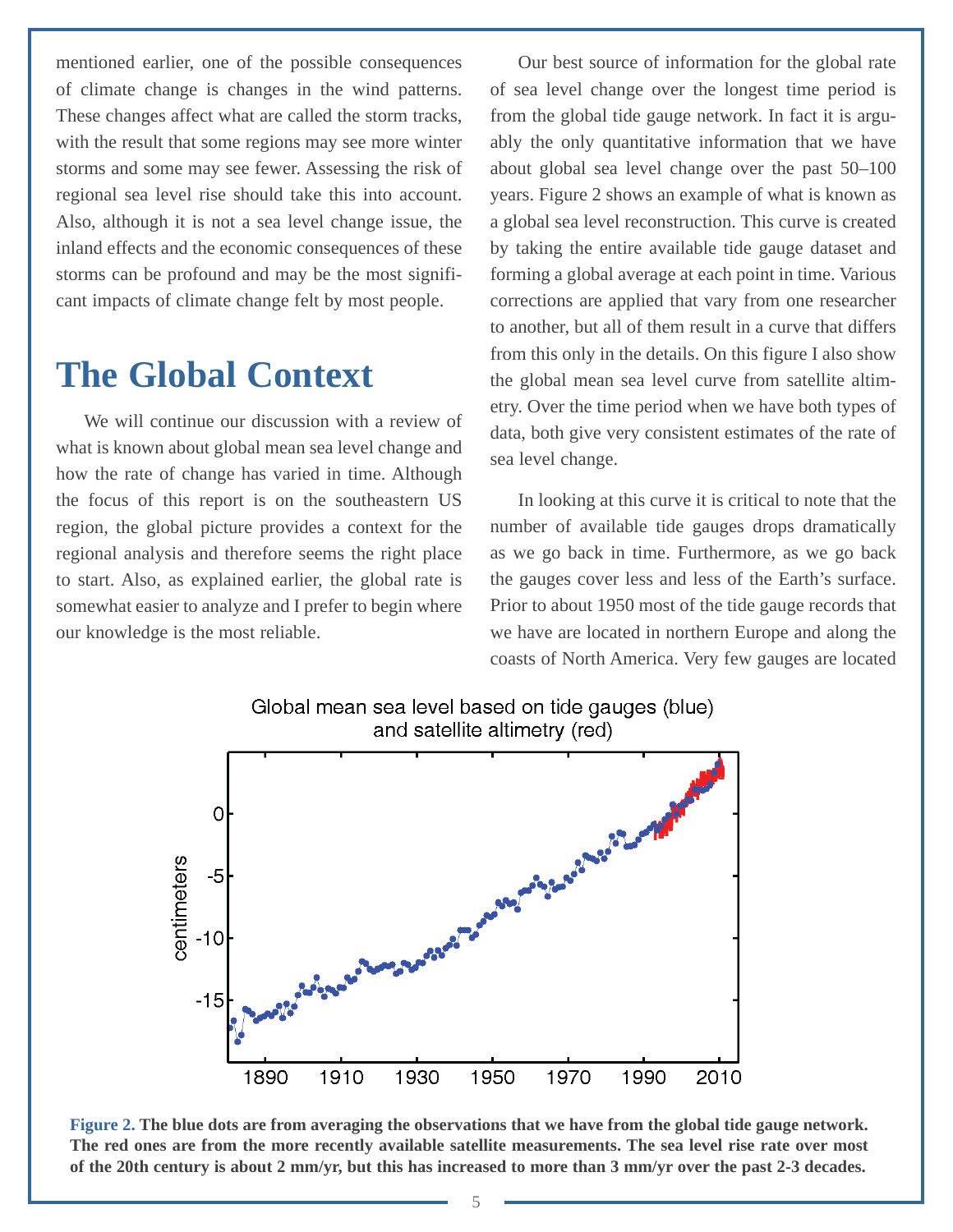<span id="page-7-0"></span>mentioned earlier, one of the possible consequences of climate change is changes in the wind patterns. These changes affect what are called the storm tracks, with the result that some regions may see more winter storms and some may see fewer. Assessing the risk of regional sea level rise should take this into account. Also, although it is not a sea level change issue, the inland effects and the economic consequences of these storms can be profound and may be the most significant impacts of climate change felt by most people.

## **The Global Context**

We will continue our discussion with a review of what is known about global mean sea level change and how the rate of change has varied in time. Although the focus of this report is on the southeastern US region, the global picture provides a context for the regional analysis and therefore seems the right place to start. Also, as explained earlier, the global rate is somewhat easier to analyze and I prefer to begin where our knowledge is the most reliable.

Our best source of information for the global rate of sea level change over the longest time period is from the global tide gauge network. In fact it is arguably the only quantitative information that we have about global sea level change over the past 50–100 years. Figure 2 shows an example of what is known as a global sea level reconstruction. This curve is created by taking the entire available tide gauge dataset and forming a global average at each point in time. Various corrections are applied that vary from one researcher to another, but all of them result in a curve that differs from this only in the details. On this figure I also show the global mean sea level curve from satellite altimetry. Over the time period when we have both types of data, both give very consistent estimates of the rate of sea level change.

In looking at this curve it is critical to note that the number of available tide gauges drops dramatically as we go back in time. Furthermore, as we go back the gauges cover less and less of the Earth's surface. Prior to about 1950 most of the tide gauge records that we have are located in northern Europe and along the coasts of North America. Very few gauges are located



**Figure 2. The blue dots are from averaging the observations that we have from the global tide gauge network. The red ones are from the more recently available satellite measurements. The sea level rise rate over most of the 20th century is about 2 mm/yr, but this has increased to more than 3 mm/yr over the past 2-3 decades.**

Global mean sea level based on tide gauges (blue)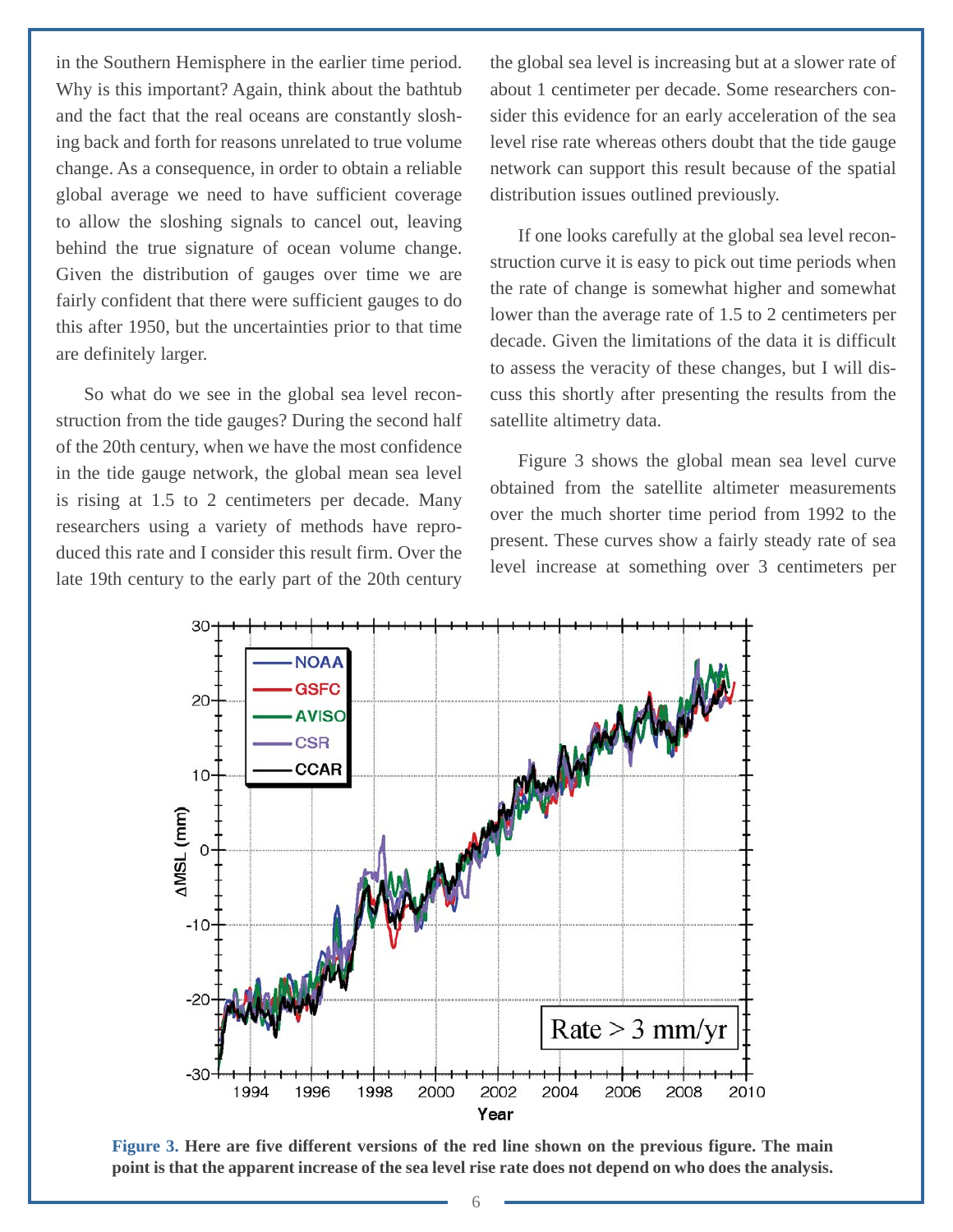in the Southern Hemisphere in the earlier time period. Why is this important? Again, think about the bathtub and the fact that the real oceans are constantly sloshing back and forth for reasons unrelated to true volume change. As a consequence, in order to obtain a reliable global average we need to have sufficient coverage to allow the sloshing signals to cancel out, leaving behind the true signature of ocean volume change. Given the distribution of gauges over time we are fairly confident that there were sufficient gauges to do this after 1950, but the uncertainties prior to that time are definitely larger.

So what do we see in the global sea level reconstruction from the tide gauges? During the second half of the 20th century, when we have the most confidence in the tide gauge network, the global mean sea level is rising at 1.5 to 2 centimeters per decade. Many researchers using a variety of methods have reproduced this rate and I consider this result firm. Over the late 19th century to the early part of the 20th century the global sea level is increasing but at a slower rate of about 1 centimeter per decade. Some researchers consider this evidence for an early acceleration of the sea level rise rate whereas others doubt that the tide gauge network can support this result because of the spatial distribution issues outlined previously.

If one looks carefully at the global sea level reconstruction curve it is easy to pick out time periods when the rate of change is somewhat higher and somewhat lower than the average rate of 1.5 to 2 centimeters per decade. Given the limitations of the data it is difficult to assess the veracity of these changes, but I will discuss this shortly after presenting the results from the satellite altimetry data.

Figure 3 shows the global mean sea level curve obtained from the satellite altimeter measurements over the much shorter time period from 1992 to the present. These curves show a fairly steady rate of sea level increase at something over 3 centimeters per



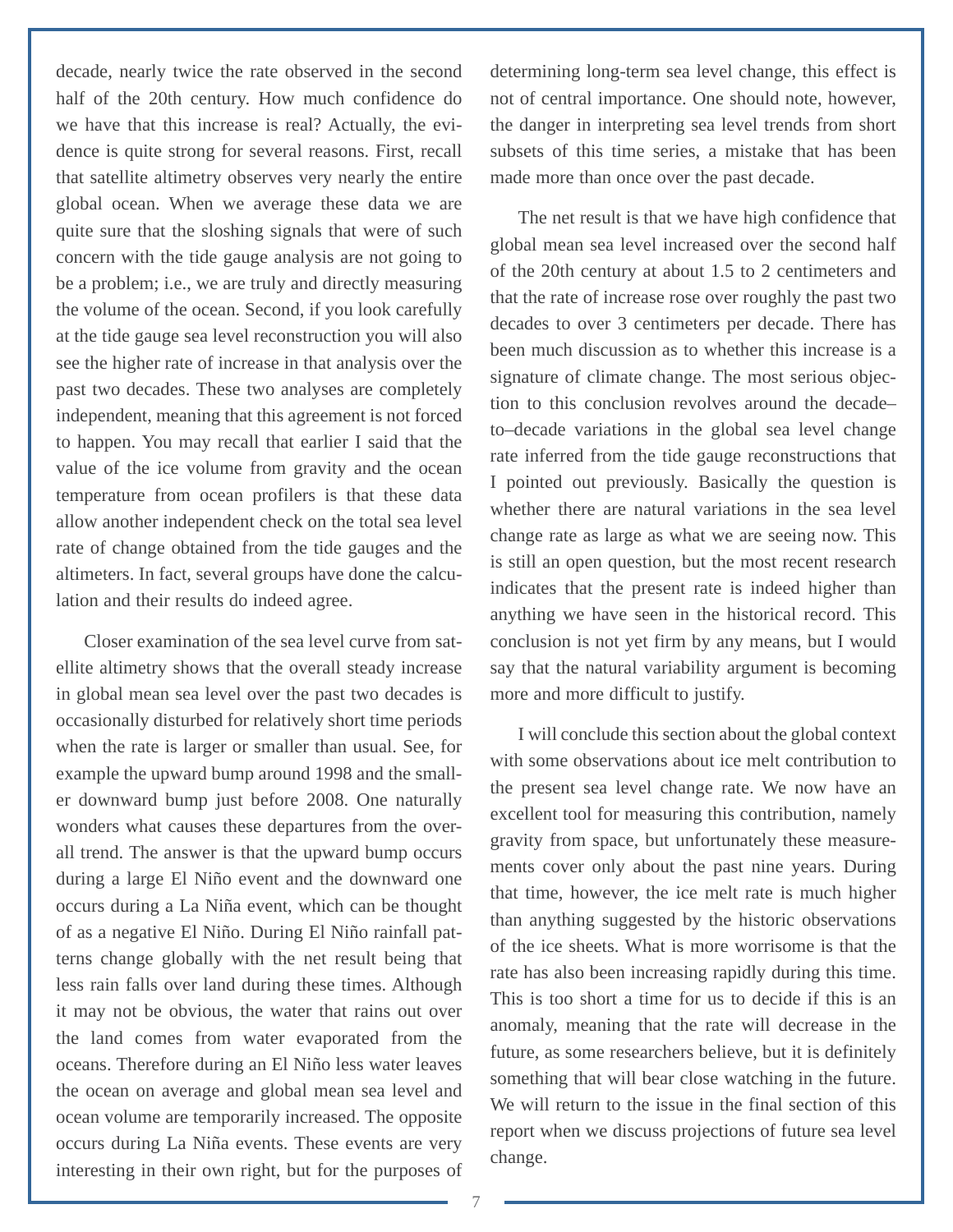decade, nearly twice the rate observed in the second half of the 20th century. How much confidence do we have that this increase is real? Actually, the evidence is quite strong for several reasons. First, recall that satellite altimetry observes very nearly the entire global ocean. When we average these data we are quite sure that the sloshing signals that were of such concern with the tide gauge analysis are not going to be a problem; i.e., we are truly and directly measuring the volume of the ocean. Second, if you look carefully at the tide gauge sea level reconstruction you will also see the higher rate of increase in that analysis over the past two decades. These two analyses are completely independent, meaning that this agreement is not forced to happen. You may recall that earlier I said that the value of the ice volume from gravity and the ocean temperature from ocean profilers is that these data allow another independent check on the total sea level rate of change obtained from the tide gauges and the altimeters. In fact, several groups have done the calculation and their results do indeed agree.

Closer examination of the sea level curve from satellite altimetry shows that the overall steady increase in global mean sea level over the past two decades is occasionally disturbed for relatively short time periods when the rate is larger or smaller than usual. See, for example the upward bump around 1998 and the smaller downward bump just before 2008. One naturally wonders what causes these departures from the overall trend. The answer is that the upward bump occurs during a large El Niño event and the downward one occurs during a La Niña event, which can be thought of as a negative El Niño. During El Niño rainfall patterns change globally with the net result being that less rain falls over land during these times. Although it may not be obvious, the water that rains out over the land comes from water evaporated from the oceans. Therefore during an El Niño less water leaves the ocean on average and global mean sea level and ocean volume are temporarily increased. The opposite occurs during La Niña events. These events are very interesting in their own right, but for the purposes of determining long-term sea level change, this effect is not of central importance. One should note, however, the danger in interpreting sea level trends from short subsets of this time series, a mistake that has been made more than once over the past decade.

The net result is that we have high confidence that global mean sea level increased over the second half of the 20th century at about 1.5 to 2 centimeters and that the rate of increase rose over roughly the past two decades to over 3 centimeters per decade. There has been much discussion as to whether this increase is a signature of climate change. The most serious objection to this conclusion revolves around the decade– to–decade variations in the global sea level change rate inferred from the tide gauge reconstructions that I pointed out previously. Basically the question is whether there are natural variations in the sea level change rate as large as what we are seeing now. This is still an open question, but the most recent research indicates that the present rate is indeed higher than anything we have seen in the historical record. This conclusion is not yet firm by any means, but I would say that the natural variability argument is becoming more and more difficult to justify.

I will conclude this section about the global context with some observations about ice melt contribution to the present sea level change rate. We now have an excellent tool for measuring this contribution, namely gravity from space, but unfortunately these measurements cover only about the past nine years. During that time, however, the ice melt rate is much higher than anything suggested by the historic observations of the ice sheets. What is more worrisome is that the rate has also been increasing rapidly during this time. This is too short a time for us to decide if this is an anomaly, meaning that the rate will decrease in the future, as some researchers believe, but it is definitely something that will bear close watching in the future. We will return to the issue in the final section of this report when we discuss projections of future sea level change.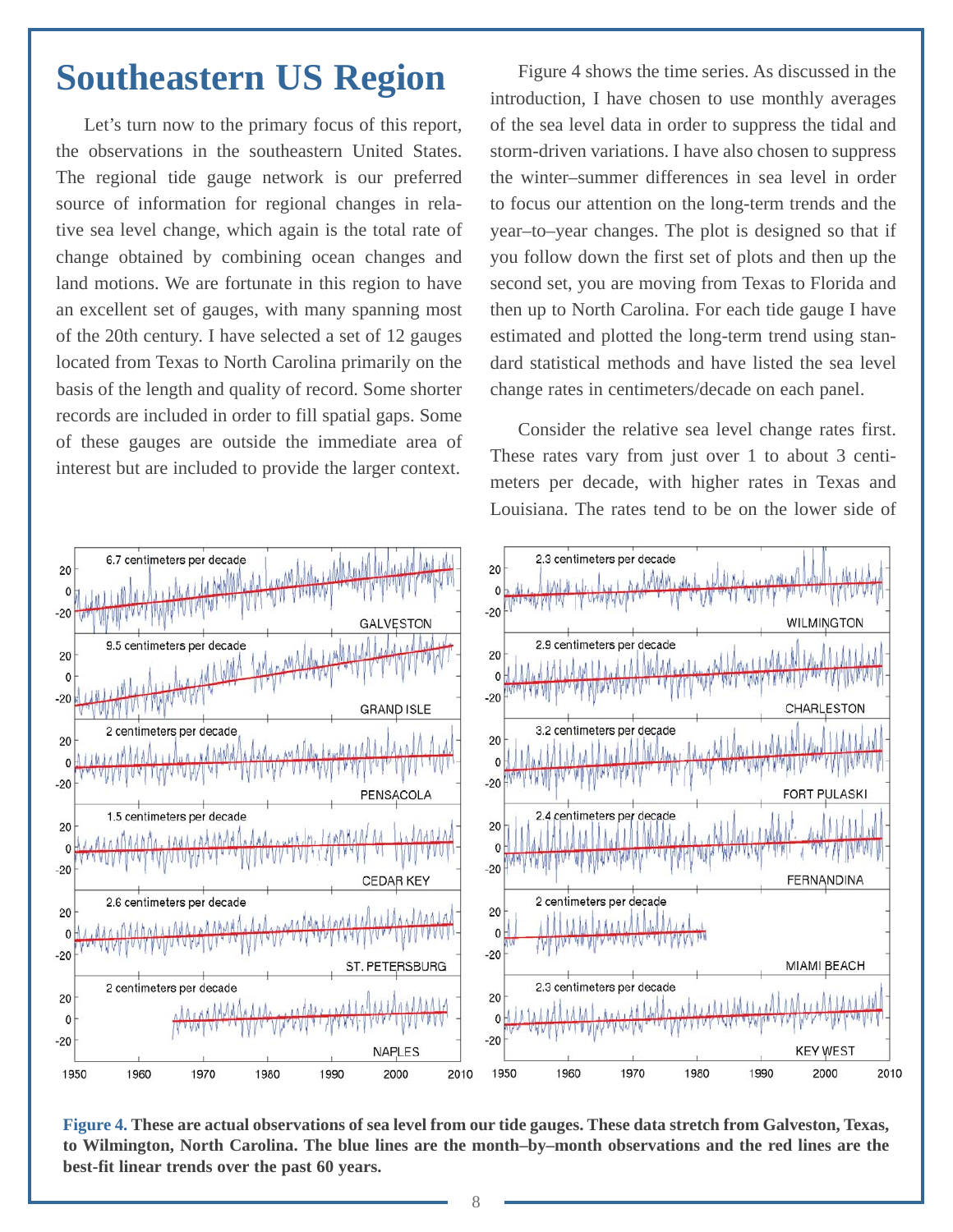#### <span id="page-10-0"></span>**Southeastern US Region**

Let's turn now to the primary focus of this report, the observations in the southeastern United States. The regional tide gauge network is our preferred source of information for regional changes in relative sea level change, which again is the total rate of change obtained by combining ocean changes and land motions. We are fortunate in this region to have an excellent set of gauges, with many spanning most of the 20th century. I have selected a set of 12 gauges located from Texas to North Carolina primarily on the basis of the length and quality of record. Some shorter records are included in order to fill spatial gaps. Some of these gauges are outside the immediate area of interest but are included to provide the larger context.

Figure 4 shows the time series. As discussed in the introduction, I have chosen to use monthly averages of the sea level data in order to suppress the tidal and storm-driven variations. I have also chosen to suppress the winter–summer differences in sea level in order to focus our attention on the long-term trends and the year–to–year changes. The plot is designed so that if you follow down the first set of plots and then up the second set, you are moving from Texas to Florida and then up to North Carolina. For each tide gauge I have estimated and plotted the long-term trend using standard statistical methods and have listed the sea level change rates in centimeters/decade on each panel.

Consider the relative sea level change rates first. These rates vary from just over 1 to about 3 centimeters per decade, with higher rates in Texas and Louisiana. The rates tend to be on the lower side of



**Figure 4. These are actual observations of sea level from our tide gauges. These data stretch from Galveston, Texas, to Wilmington, North Carolina. The blue lines are the month–by–month observations and the red lines are the best-fit linear trends over the past 60 years.**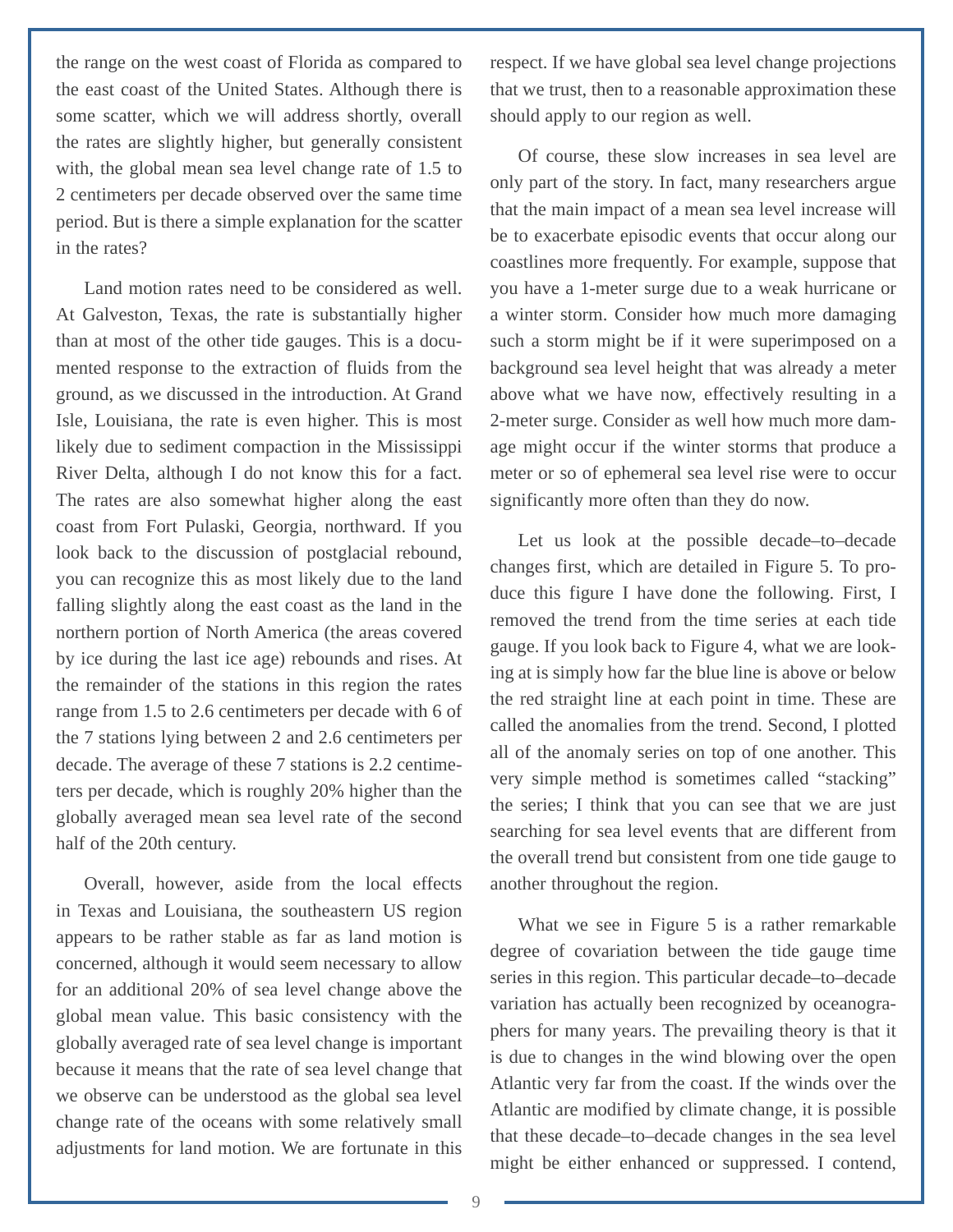the range on the west coast of Florida as compared to the east coast of the United States. Although there is some scatter, which we will address shortly, overall the rates are slightly higher, but generally consistent with, the global mean sea level change rate of 1.5 to 2 centimeters per decade observed over the same time period. But is there a simple explanation for the scatter in the rates?

Land motion rates need to be considered as well. At Galveston, Texas, the rate is substantially higher than at most of the other tide gauges. This is a documented response to the extraction of fluids from the ground, as we discussed in the introduction. At Grand Isle, Louisiana, the rate is even higher. This is most likely due to sediment compaction in the Mississippi River Delta, although I do not know this for a fact. The rates are also somewhat higher along the east coast from Fort Pulaski, Georgia, northward. If you look back to the discussion of postglacial rebound, you can recognize this as most likely due to the land falling slightly along the east coast as the land in the northern portion of North America (the areas covered by ice during the last ice age) rebounds and rises. At the remainder of the stations in this region the rates range from 1.5 to 2.6 centimeters per decade with 6 of the 7 stations lying between 2 and 2.6 centimeters per decade. The average of these 7 stations is 2.2 centimeters per decade, which is roughly 20% higher than the globally averaged mean sea level rate of the second half of the 20th century.

Overall, however, aside from the local effects in Texas and Louisiana, the southeastern US region appears to be rather stable as far as land motion is concerned, although it would seem necessary to allow for an additional 20% of sea level change above the global mean value. This basic consistency with the globally averaged rate of sea level change is important because it means that the rate of sea level change that we observe can be understood as the global sea level change rate of the oceans with some relatively small adjustments for land motion. We are fortunate in this respect. If we have global sea level change projections that we trust, then to a reasonable approximation these should apply to our region as well.

Of course, these slow increases in sea level are only part of the story. In fact, many researchers argue that the main impact of a mean sea level increase will be to exacerbate episodic events that occur along our coastlines more frequently. For example, suppose that you have a 1-meter surge due to a weak hurricane or a winter storm. Consider how much more damaging such a storm might be if it were superimposed on a background sea level height that was already a meter above what we have now, effectively resulting in a 2-meter surge. Consider as well how much more damage might occur if the winter storms that produce a meter or so of ephemeral sea level rise were to occur significantly more often than they do now.

Let us look at the possible decade–to–decade changes first, which are detailed in Figure 5. To produce this figure I have done the following. First, I removed the trend from the time series at each tide gauge. If you look back to Figure 4, what we are looking at is simply how far the blue line is above or below the red straight line at each point in time. These are called the anomalies from the trend. Second, I plotted all of the anomaly series on top of one another. This very simple method is sometimes called "stacking" the series; I think that you can see that we are just searching for sea level events that are different from the overall trend but consistent from one tide gauge to another throughout the region.

What we see in Figure 5 is a rather remarkable degree of covariation between the tide gauge time series in this region. This particular decade–to–decade variation has actually been recognized by oceanographers for many years. The prevailing theory is that it is due to changes in the wind blowing over the open Atlantic very far from the coast. If the winds over the Atlantic are modified by climate change, it is possible that these decade–to–decade changes in the sea level might be either enhanced or suppressed. I contend,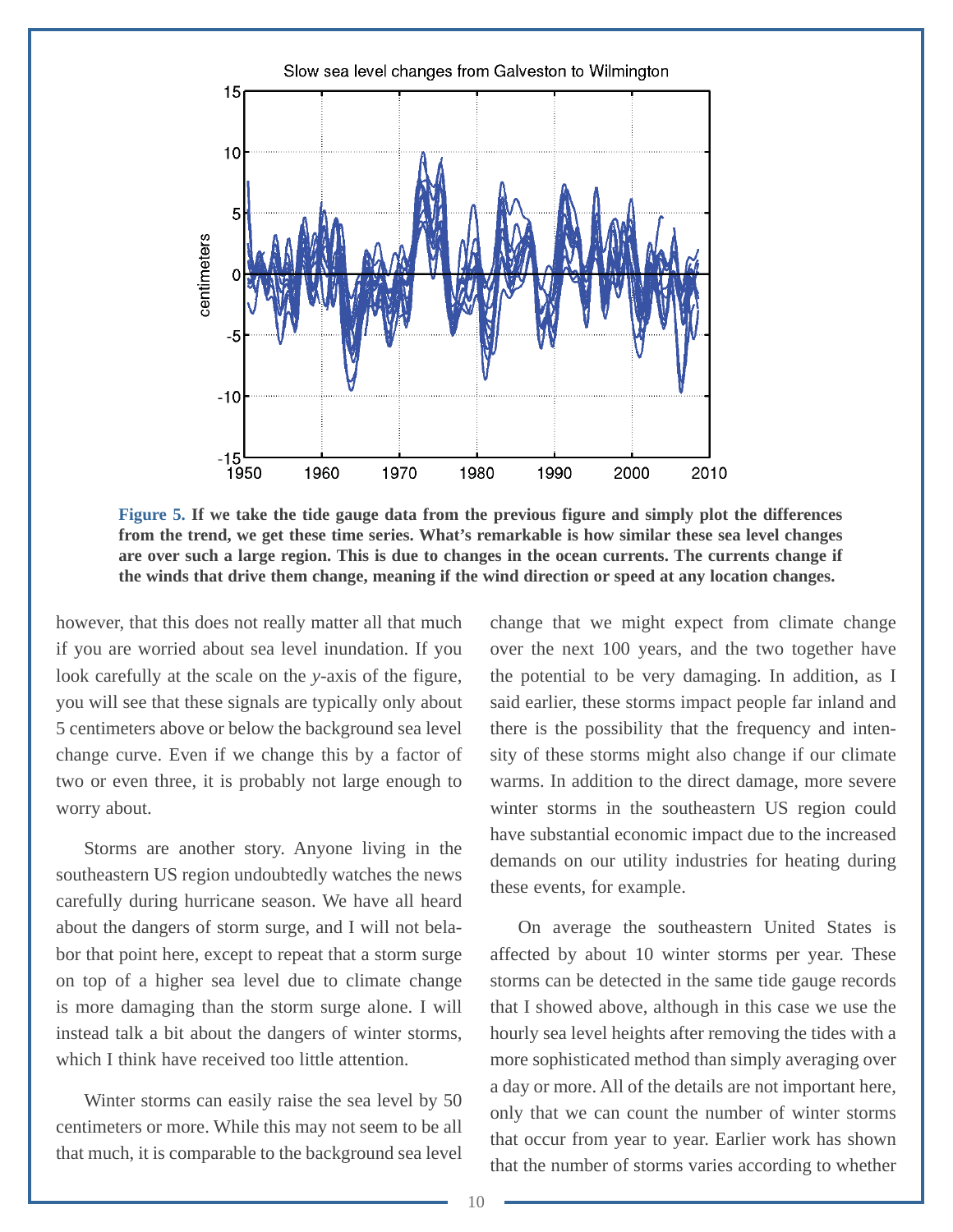

**Figure 5. If we take the tide gauge data from the previous figure and simply plot the differences from the trend, we get these time series. What's remarkable is how similar these sea level changes are over such a large region. This is due to changes in the ocean currents. The currents change if the winds that drive them change, meaning if the wind direction or speed at any location changes.**

however, that this does not really matter all that much if you are worried about sea level inundation. If you look carefully at the scale on the *y*-axis of the figure, you will see that these signals are typically only about 5 centimeters above or below the background sea level change curve. Even if we change this by a factor of two or even three, it is probably not large enough to worry about.

Storms are another story. Anyone living in the southeastern US region undoubtedly watches the news carefully during hurricane season. We have all heard about the dangers of storm surge, and I will not belabor that point here, except to repeat that a storm surge on top of a higher sea level due to climate change is more damaging than the storm surge alone. I will instead talk a bit about the dangers of winter storms, which I think have received too little attention.

Winter storms can easily raise the sea level by 50 centimeters or more. While this may not seem to be all that much, it is comparable to the background sea level change that we might expect from climate change over the next 100 years, and the two together have the potential to be very damaging. In addition, as I said earlier, these storms impact people far inland and there is the possibility that the frequency and intensity of these storms might also change if our climate warms. In addition to the direct damage, more severe winter storms in the southeastern US region could have substantial economic impact due to the increased demands on our utility industries for heating during these events, for example.

On average the southeastern United States is affected by about 10 winter storms per year. These storms can be detected in the same tide gauge records that I showed above, although in this case we use the hourly sea level heights after removing the tides with a more sophisticated method than simply averaging over a day or more. All of the details are not important here, only that we can count the number of winter storms that occur from year to year. Earlier work has shown that the number of storms varies according to whether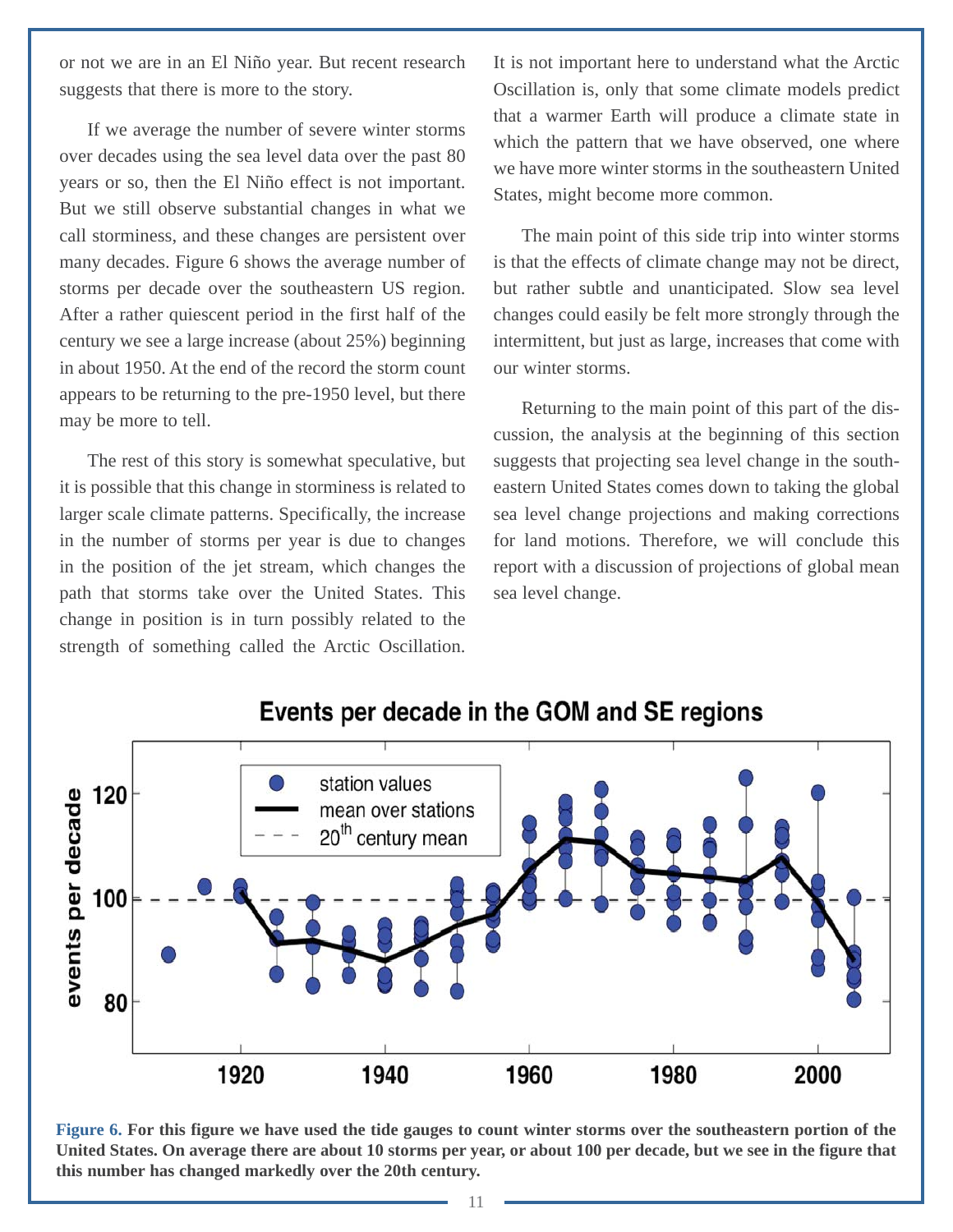or not we are in an El Niño year. But recent research suggests that there is more to the story.

If we average the number of severe winter storms over decades using the sea level data over the past 80 years or so, then the El Niño effect is not important. But we still observe substantial changes in what we call storminess, and these changes are persistent over many decades. Figure 6 shows the average number of storms per decade over the southeastern US region. After a rather quiescent period in the first half of the century we see a large increase (about 25%) beginning in about 1950. At the end of the record the storm count appears to be returning to the pre-1950 level, but there may be more to tell.

The rest of this story is somewhat speculative, but it is possible that this change in storminess is related to larger scale climate patterns. Specifically, the increase in the number of storms per year is due to changes in the position of the jet stream, which changes the path that storms take over the United States. This change in position is in turn possibly related to the strength of something called the Arctic Oscillation.

It is not important here to understand what the Arctic Oscillation is, only that some climate models predict that a warmer Earth will produce a climate state in which the pattern that we have observed, one where we have more winter storms in the southeastern United States, might become more common.

The main point of this side trip into winter storms is that the effects of climate change may not be direct, but rather subtle and unanticipated. Slow sea level changes could easily be felt more strongly through the intermittent, but just as large, increases that come with our winter storms.

Returning to the main point of this part of the discussion, the analysis at the beginning of this section suggests that projecting sea level change in the southeastern United States comes down to taking the global sea level change projections and making corrections for land motions. Therefore, we will conclude this report with a discussion of projections of global mean sea level change.



Events per decade in the GOM and SE regions

**Figure 6. For this figure we have used the tide gauges to count winter storms over the southeastern portion of the United States. On average there are about 10 storms per year, or about 100 per decade, but we see in the figure that this number has changed markedly over the 20th century.**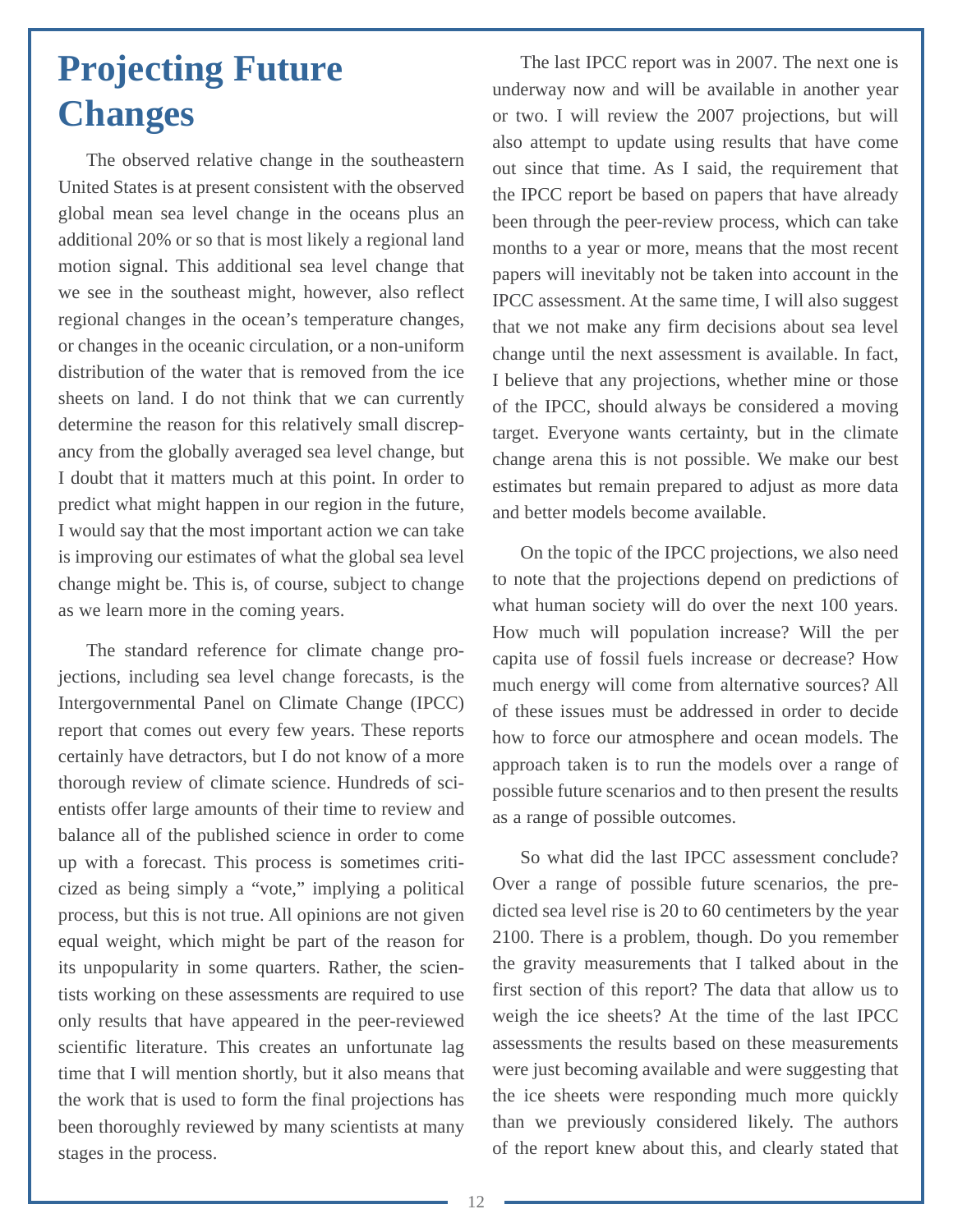## <span id="page-14-0"></span>**Projecting Future Changes**

The observed relative change in the southeastern United States is at present consistent with the observed global mean sea level change in the oceans plus an additional 20% or so that is most likely a regional land motion signal. This additional sea level change that we see in the southeast might, however, also reflect regional changes in the ocean's temperature changes, or changes in the oceanic circulation, or a non-uniform distribution of the water that is removed from the ice sheets on land. I do not think that we can currently determine the reason for this relatively small discrepancy from the globally averaged sea level change, but I doubt that it matters much at this point. In order to predict what might happen in our region in the future, I would say that the most important action we can take is improving our estimates of what the global sea level change might be. This is, of course, subject to change as we learn more in the coming years.

The standard reference for climate change projections, including sea level change forecasts, is the Intergovernmental Panel on Climate Change (IPCC) report that comes out every few years. These reports certainly have detractors, but I do not know of a more thorough review of climate science. Hundreds of scientists offer large amounts of their time to review and balance all of the published science in order to come up with a forecast. This process is sometimes criticized as being simply a "vote," implying a political process, but this is not true. All opinions are not given equal weight, which might be part of the reason for its unpopularity in some quarters. Rather, the scientists working on these assessments are required to use only results that have appeared in the peer-reviewed scientific literature. This creates an unfortunate lag time that I will mention shortly, but it also means that the work that is used to form the final projections has been thoroughly reviewed by many scientists at many stages in the process.

The last IPCC report was in 2007. The next one is underway now and will be available in another year or two. I will review the 2007 projections, but will also attempt to update using results that have come out since that time. As I said, the requirement that the IPCC report be based on papers that have already been through the peer-review process, which can take months to a year or more, means that the most recent papers will inevitably not be taken into account in the IPCC assessment. At the same time, I will also suggest that we not make any firm decisions about sea level change until the next assessment is available. In fact, I believe that any projections, whether mine or those of the IPCC, should always be considered a moving target. Everyone wants certainty, but in the climate change arena this is not possible. We make our best estimates but remain prepared to adjust as more data and better models become available.

On the topic of the IPCC projections, we also need to note that the projections depend on predictions of what human society will do over the next 100 years. How much will population increase? Will the per capita use of fossil fuels increase or decrease? How much energy will come from alternative sources? All of these issues must be addressed in order to decide how to force our atmosphere and ocean models. The approach taken is to run the models over a range of possible future scenarios and to then present the results as a range of possible outcomes.

So what did the last IPCC assessment conclude? Over a range of possible future scenarios, the predicted sea level rise is 20 to 60 centimeters by the year 2100. There is a problem, though. Do you remember the gravity measurements that I talked about in the first section of this report? The data that allow us to weigh the ice sheets? At the time of the last IPCC assessments the results based on these measurements were just becoming available and were suggesting that the ice sheets were responding much more quickly than we previously considered likely. The authors of the report knew about this, and clearly stated that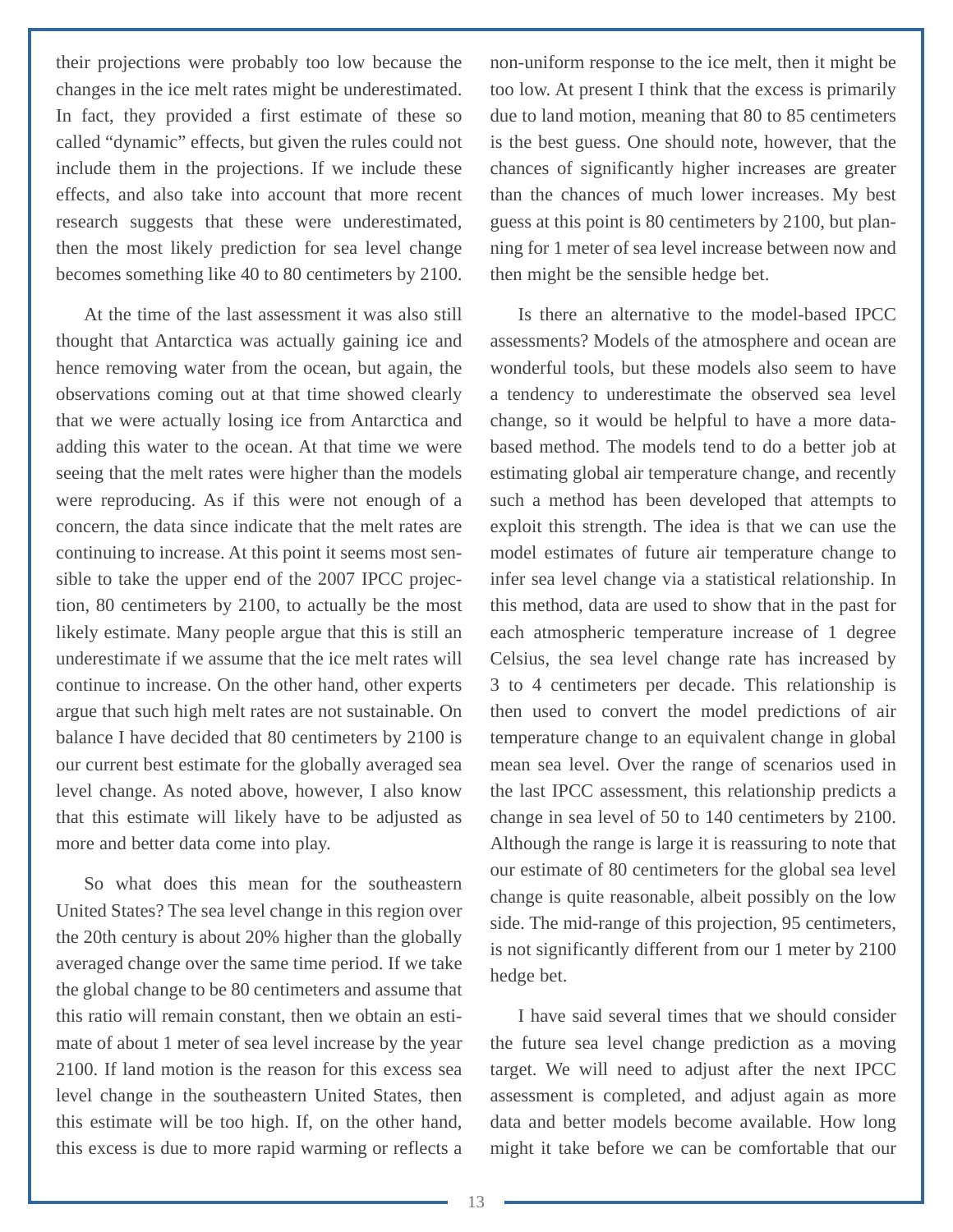their projections were probably too low because the changes in the ice melt rates might be underestimated. In fact, they provided a first estimate of these so called "dynamic" effects, but given the rules could not include them in the projections. If we include these effects, and also take into account that more recent research suggests that these were underestimated, then the most likely prediction for sea level change becomes something like 40 to 80 centimeters by 2100.

At the time of the last assessment it was also still thought that Antarctica was actually gaining ice and hence removing water from the ocean, but again, the observations coming out at that time showed clearly that we were actually losing ice from Antarctica and adding this water to the ocean. At that time we were seeing that the melt rates were higher than the models were reproducing. As if this were not enough of a concern, the data since indicate that the melt rates are continuing to increase. At this point it seems most sensible to take the upper end of the 2007 IPCC projection, 80 centimeters by 2100, to actually be the most likely estimate. Many people argue that this is still an underestimate if we assume that the ice melt rates will continue to increase. On the other hand, other experts argue that such high melt rates are not sustainable. On balance I have decided that 80 centimeters by 2100 is our current best estimate for the globally averaged sea level change. As noted above, however, I also know that this estimate will likely have to be adjusted as more and better data come into play.

So what does this mean for the southeastern United States? The sea level change in this region over the 20th century is about 20% higher than the globally averaged change over the same time period. If we take the global change to be 80 centimeters and assume that this ratio will remain constant, then we obtain an estimate of about 1 meter of sea level increase by the year 2100. If land motion is the reason for this excess sea level change in the southeastern United States, then this estimate will be too high. If, on the other hand, this excess is due to more rapid warming or reflects a

non-uniform response to the ice melt, then it might be too low. At present I think that the excess is primarily due to land motion, meaning that 80 to 85 centimeters is the best guess. One should note, however, that the chances of significantly higher increases are greater than the chances of much lower increases. My best guess at this point is 80 centimeters by 2100, but planning for 1 meter of sea level increase between now and then might be the sensible hedge bet.

Is there an alternative to the model-based IPCC assessments? Models of the atmosphere and ocean are wonderful tools, but these models also seem to have a tendency to underestimate the observed sea level change, so it would be helpful to have a more databased method. The models tend to do a better job at estimating global air temperature change, and recently such a method has been developed that attempts to exploit this strength. The idea is that we can use the model estimates of future air temperature change to infer sea level change via a statistical relationship. In this method, data are used to show that in the past for each atmospheric temperature increase of 1 degree Celsius, the sea level change rate has increased by 3 to 4 centimeters per decade. This relationship is then used to convert the model predictions of air temperature change to an equivalent change in global mean sea level. Over the range of scenarios used in the last IPCC assessment, this relationship predicts a change in sea level of 50 to 140 centimeters by 2100. Although the range is large it is reassuring to note that our estimate of 80 centimeters for the global sea level change is quite reasonable, albeit possibly on the low side. The mid-range of this projection, 95 centimeters, is not significantly different from our 1 meter by 2100 hedge bet.

I have said several times that we should consider the future sea level change prediction as a moving target. We will need to adjust after the next IPCC assessment is completed, and adjust again as more data and better models become available. How long might it take before we can be comfortable that our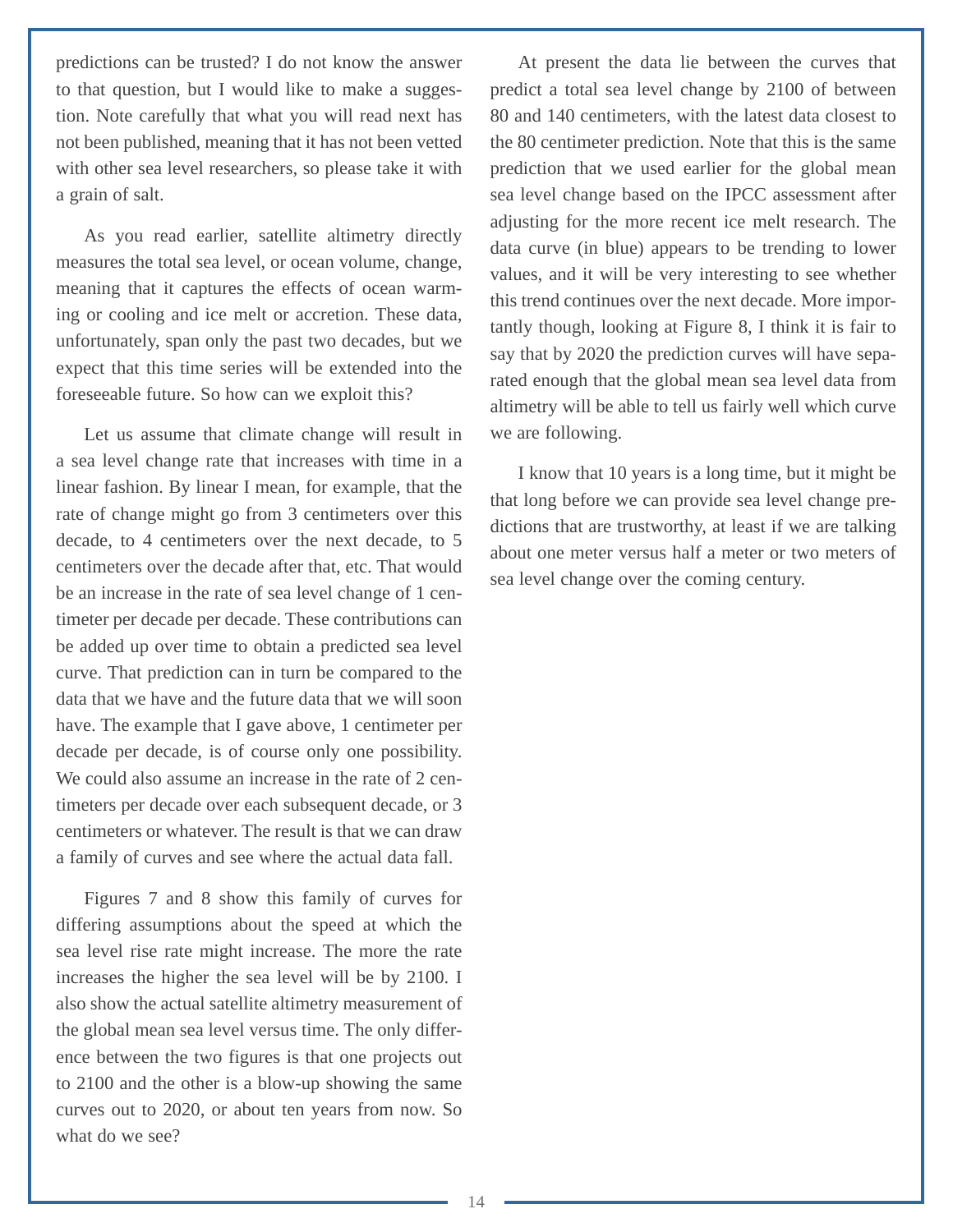predictions can be trusted? I do not know the answer to that question, but I would like to make a suggestion. Note carefully that what you will read next has not been published, meaning that it has not been vetted with other sea level researchers, so please take it with a grain of salt.

As you read earlier, satellite altimetry directly measures the total sea level, or ocean volume, change, meaning that it captures the effects of ocean warming or cooling and ice melt or accretion. These data, unfortunately, span only the past two decades, but we expect that this time series will be extended into the foreseeable future. So how can we exploit this?

Let us assume that climate change will result in a sea level change rate that increases with time in a linear fashion. By linear I mean, for example, that the rate of change might go from 3 centimeters over this decade, to 4 centimeters over the next decade, to 5 centimeters over the decade after that, etc. That would be an increase in the rate of sea level change of 1 centimeter per decade per decade. These contributions can be added up over time to obtain a predicted sea level curve. That prediction can in turn be compared to the data that we have and the future data that we will soon have. The example that I gave above, 1 centimeter per decade per decade, is of course only one possibility. We could also assume an increase in the rate of 2 centimeters per decade over each subsequent decade, or 3 centimeters or whatever. The result is that we can draw a family of curves and see where the actual data fall.

Figures 7 and 8 show this family of curves for differing assumptions about the speed at which the sea level rise rate might increase. The more the rate increases the higher the sea level will be by 2100. I also show the actual satellite altimetry measurement of the global mean sea level versus time. The only difference between the two figures is that one projects out to 2100 and the other is a blow-up showing the same curves out to 2020, or about ten years from now. So what do we see?

At present the data lie between the curves that predict a total sea level change by 2100 of between 80 and 140 centimeters, with the latest data closest to the 80 centimeter prediction. Note that this is the same prediction that we used earlier for the global mean sea level change based on the IPCC assessment after adjusting for the more recent ice melt research. The data curve (in blue) appears to be trending to lower values, and it will be very interesting to see whether this trend continues over the next decade. More importantly though, looking at Figure 8, I think it is fair to say that by 2020 the prediction curves will have separated enough that the global mean sea level data from altimetry will be able to tell us fairly well which curve we are following.

I know that 10 years is a long time, but it might be that long before we can provide sea level change predictions that are trustworthy, at least if we are talking about one meter versus half a meter or two meters of sea level change over the coming century.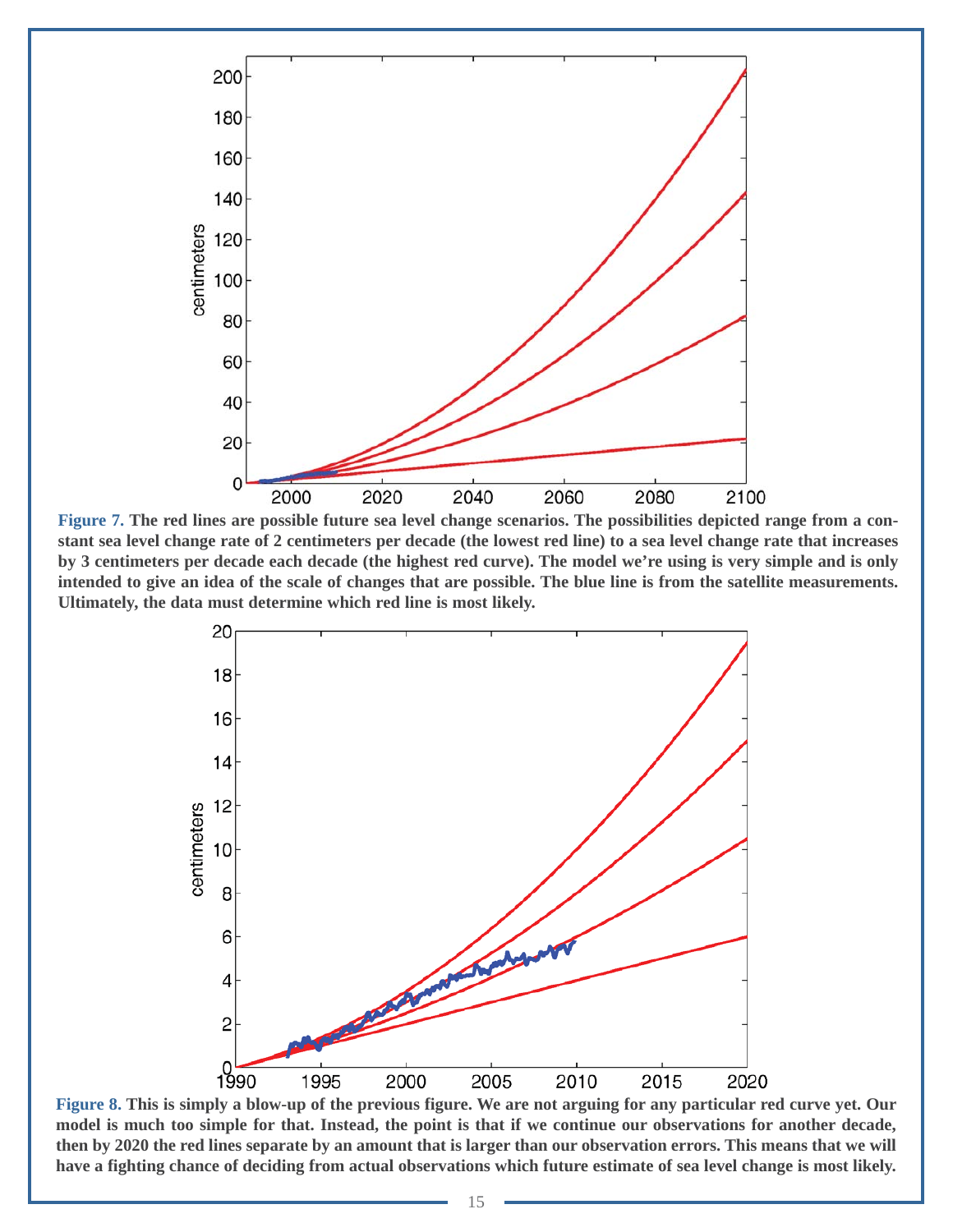

**Figure 7. The red lines are possible future sea level change scenarios. The possibilities depicted range from a constant sea level change rate of 2 centimeters per decade (the lowest red line) to a sea level change rate that increases by 3 centimeters per decade each decade (the highest red curve). The model we're using is very simple and is only intended to give an idea of the scale of changes that are possible. The blue line is from the satellite measurements. Ultimately, the data must determine which red line is most likely.**



**Figure 8. This is simply a blow-up of the previous figure. We are not arguing for any particular red curve yet. Our model is much too simple for that. Instead, the point is that if we continue our observations for another decade, then by 2020 the red lines separate by an amount that is larger than our observation errors. This means that we will have a fighting chance of deciding from actual observations which future estimate of sea level change is most likely.**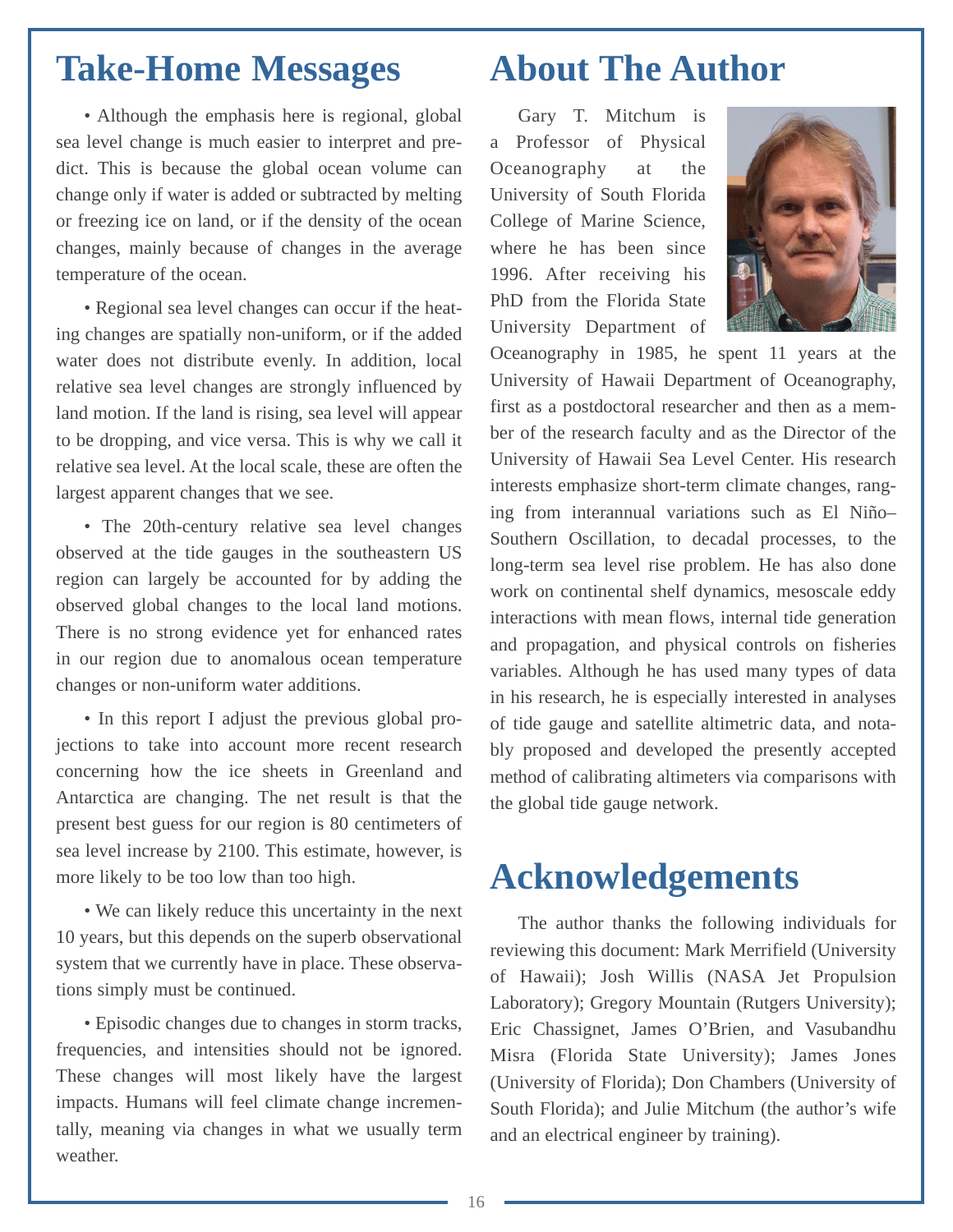#### <span id="page-18-0"></span>**Take-Home Messages**

• Although the emphasis here is regional, global sea level change is much easier to interpret and predict. This is because the global ocean volume can change only if water is added or subtracted by melting or freezing ice on land, or if the density of the ocean changes, mainly because of changes in the average temperature of the ocean.

• Regional sea level changes can occur if the heating changes are spatially non-uniform, or if the added water does not distribute evenly. In addition, local relative sea level changes are strongly influenced by land motion. If the land is rising, sea level will appear to be dropping, and vice versa. This is why we call it relative sea level. At the local scale, these are often the largest apparent changes that we see.

• The 20th-century relative sea level changes observed at the tide gauges in the southeastern US region can largely be accounted for by adding the observed global changes to the local land motions. There is no strong evidence yet for enhanced rates in our region due to anomalous ocean temperature changes or non-uniform water additions.

• In this report I adjust the previous global projections to take into account more recent research concerning how the ice sheets in Greenland and Antarctica are changing. The net result is that the present best guess for our region is 80 centimeters of sea level increase by 2100. This estimate, however, is more likely to be too low than too high.

• We can likely reduce this uncertainty in the next 10 years, but this depends on the superb observational system that we currently have in place. These observations simply must be continued.

• Episodic changes due to changes in storm tracks, frequencies, and intensities should not be ignored. These changes will most likely have the largest impacts. Humans will feel climate change incrementally, meaning via changes in what we usually term weather.

## **About The Author**

Gary T. Mitchum is a Professor of Physical Oceanography at the University of South Florida College of Marine Science, where he has been since 1996. After receiving his PhD from the Florida State University Department of



Oceanography in 1985, he spent 11 years at the University of Hawaii Department of Oceanography, first as a postdoctoral researcher and then as a member of the research faculty and as the Director of the University of Hawaii Sea Level Center. His research interests emphasize short-term climate changes, ranging from interannual variations such as El Niño– Southern Oscillation, to decadal processes, to the long-term sea level rise problem. He has also done work on continental shelf dynamics, mesoscale eddy interactions with mean flows, internal tide generation and propagation, and physical controls on fisheries variables. Although he has used many types of data in his research, he is especially interested in analyses of tide gauge and satellite altimetric data, and notably proposed and developed the presently accepted method of calibrating altimeters via comparisons with the global tide gauge network.

## **Acknowledgements**

The author thanks the following individuals for reviewing this document: Mark Merrifield (University of Hawaii); Josh Willis (NASA Jet Propulsion Laboratory); Gregory Mountain (Rutgers University); Eric Chassignet, James O'Brien, and Vasubandhu Misra (Florida State University); James Jones (University of Florida); Don Chambers (University of South Florida); and Julie Mitchum (the author's wife and an electrical engineer by training).